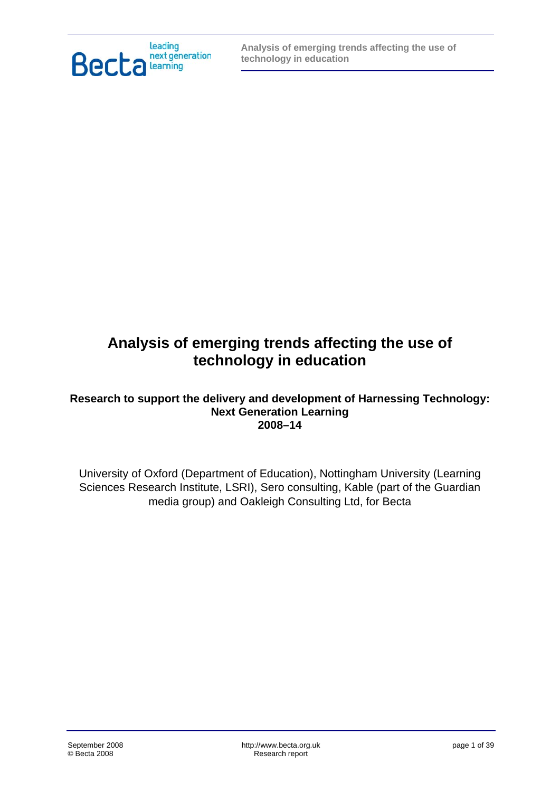

# **Analysis of emerging trends affecting the use of technology in education**

#### **Research to support the delivery and development of Harnessing Technology: Next Generation Learning 2008–14**

University of Oxford (Department of Education), Nottingham University (Learning Sciences Research Institute, LSRI), Sero consulting, Kable (part of the Guardian media group) and Oakleigh Consulting Ltd, for Becta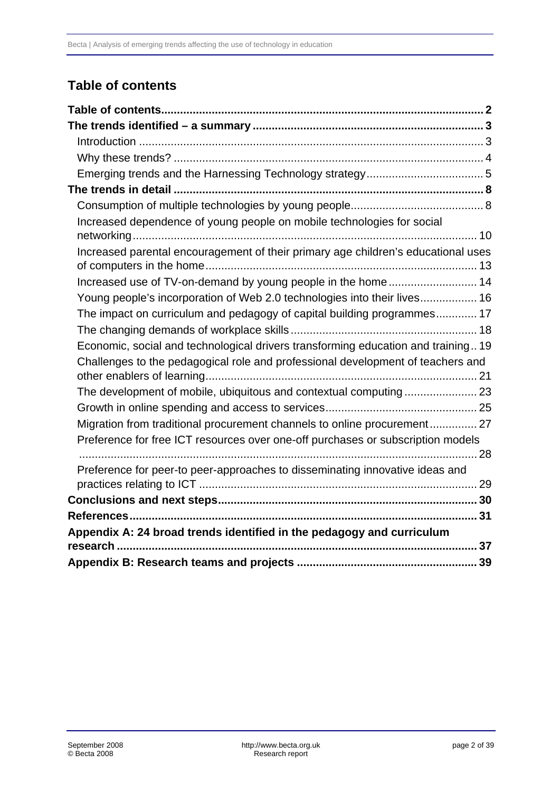# <span id="page-1-0"></span>**Table of contents**

| Increased dependence of young people on mobile technologies for social            |  |
|-----------------------------------------------------------------------------------|--|
| Increased parental encouragement of their primary age children's educational uses |  |
| Increased use of TV-on-demand by young people in the home 14                      |  |
| Young people's incorporation of Web 2.0 technologies into their lives 16          |  |
| The impact on curriculum and pedagogy of capital building programmes 17           |  |
|                                                                                   |  |
| Economic, social and technological drivers transforming education and training 19 |  |
| Challenges to the pedagogical role and professional development of teachers and   |  |
|                                                                                   |  |
|                                                                                   |  |
| Migration from traditional procurement channels to online procurement 27          |  |
| Preference for free ICT resources over one-off purchases or subscription models   |  |
|                                                                                   |  |
| Preference for peer-to peer-approaches to disseminating innovative ideas and      |  |
|                                                                                   |  |
|                                                                                   |  |
| Appendix A: 24 broad trends identified in the pedagogy and curriculum             |  |
|                                                                                   |  |
|                                                                                   |  |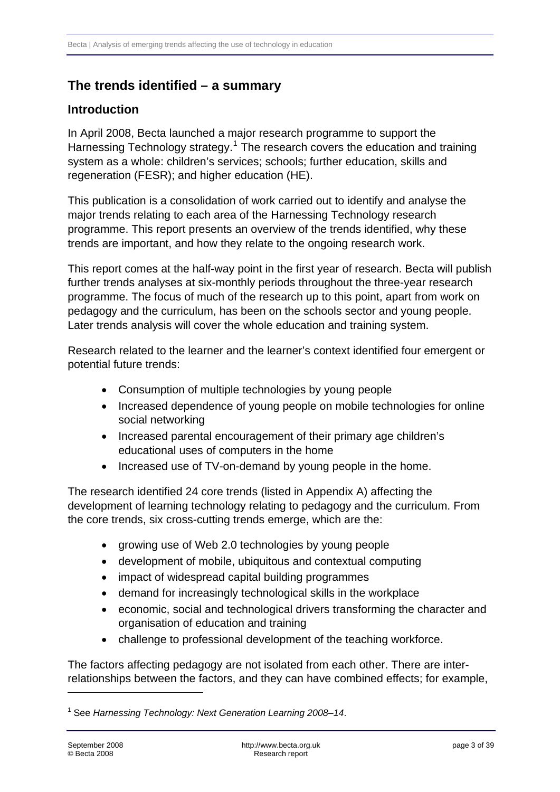# <span id="page-2-0"></span>**The trends identified – a summary**

#### **Introduction**

In April 2008, Becta launched a major research programme to support the Harnessing Technology strategy.<sup>[1](#page-2-1)</sup> The research covers the education and training system as a whole: children's services; schools; further education, skills and regeneration (FESR); and higher education (HE).

This publication is a consolidation of work carried out to identify and analyse the major trends relating to each area of the Harnessing Technology research programme. This report presents an overview of the trends identified, why these trends are important, and how they relate to the ongoing research work.

This report comes at the half-way point in the first year of research. Becta will publish further trends analyses at six-monthly periods throughout the three-year research programme. The focus of much of the research up to this point, apart from work on pedagogy and the curriculum, has been on the schools sector and young people. Later trends analysis will cover the whole education and training system.

Research related to the learner and the learner's context identified four emergent or potential future trends:

- Consumption of multiple technologies by young people
- Increased dependence of young people on mobile technologies for online social networking
- Increased parental encouragement of their primary age children's educational uses of computers in the home
- Increased use of TV-on-demand by young people in the home.

The research identified 24 core trends (listed in Appendix A) affecting the development of learning technology relating to pedagogy and the curriculum. From the core trends, six cross-cutting trends emerge, which are the:

- growing use of Web 2.0 technologies by young people
- development of mobile, ubiquitous and contextual computing
- impact of widespread capital building programmes
- demand for increasingly technological skills in the workplace
- economic, social and technological drivers transforming the character and organisation of education and training
- challenge to professional development of the teaching workforce.

The factors affecting pedagogy are not isolated from each other. There are interrelationships between the factors, and they can have combined effects; for example,

1

<span id="page-2-1"></span><sup>1</sup> See *Harnessing Technology: Next Generation Learning 2008–14*.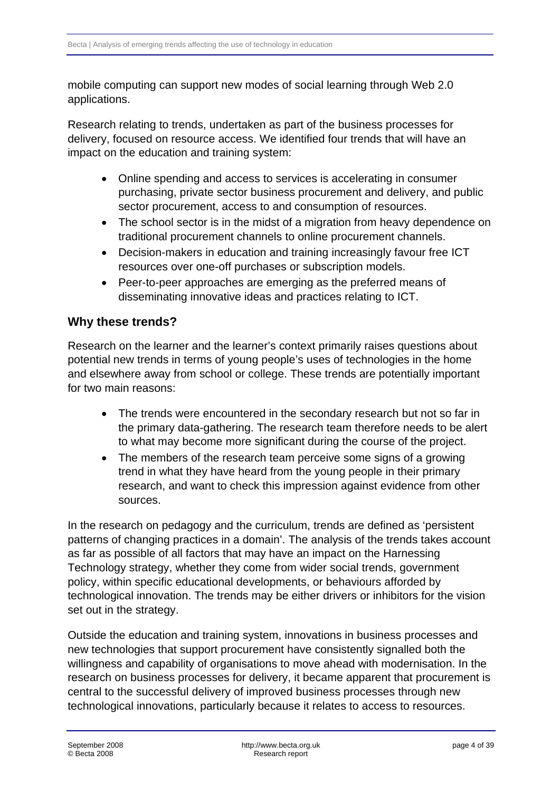<span id="page-3-0"></span>mobile computing can support new modes of social learning through Web 2.0 applications.

Research relating to trends, undertaken as part of the business processes for delivery, focused on resource access. We identified four trends that will have an impact on the education and training system:

- Online spending and access to services is accelerating in consumer purchasing, private sector business procurement and delivery, and public sector procurement, access to and consumption of resources.
- The school sector is in the midst of a migration from heavy dependence on traditional procurement channels to online procurement channels.
- Decision-makers in education and training increasingly favour free ICT resources over one-off purchases or subscription models.
- Peer-to-peer approaches are emerging as the preferred means of disseminating innovative ideas and practices relating to ICT.

## **Why these trends?**

Research on the learner and the learner's context primarily raises questions about potential new trends in terms of young people's uses of technologies in the home and elsewhere away from school or college. These trends are potentially important for two main reasons:

- The trends were encountered in the secondary research but not so far in the primary data-gathering. The research team therefore needs to be alert to what may become more significant during the course of the project.
- The members of the research team perceive some signs of a growing trend in what they have heard from the young people in their primary research, and want to check this impression against evidence from other sources.

In the research on pedagogy and the curriculum, trends are defined as 'persistent patterns of changing practices in a domain'. The analysis of the trends takes account as far as possible of all factors that may have an impact on the Harnessing Technology strategy, whether they come from wider social trends, government policy, within specific educational developments, or behaviours afforded by technological innovation. The trends may be either drivers or inhibitors for the vision set out in the strategy.

Outside the education and training system, innovations in business processes and new technologies that support procurement have consistently signalled both the willingness and capability of organisations to move ahead with modernisation. In the research on business processes for delivery, it became apparent that procurement is central to the successful delivery of improved business processes through new technological innovations, particularly because it relates to access to resources.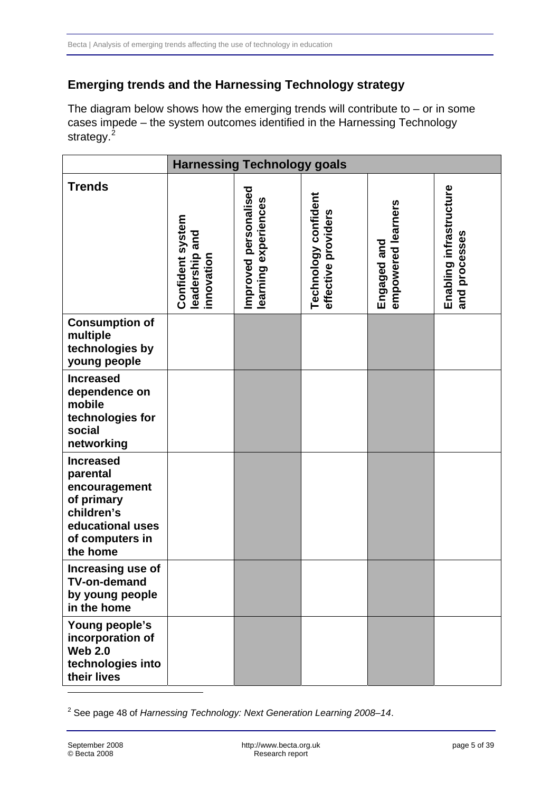## <span id="page-4-0"></span>**Emerging trends and the Harnessing Technology strategy**

The diagram below shows how the emerging trends will contribute to  $-$  or in some cases impede – the system outcomes identified in the Harnessing Technology strategy.<sup>[2](#page-4-1)</sup>

|                                                                                                                              | <b>Harnessing Technology goals</b>               |                                               |                                             |                                   |                                          |
|------------------------------------------------------------------------------------------------------------------------------|--------------------------------------------------|-----------------------------------------------|---------------------------------------------|-----------------------------------|------------------------------------------|
| <b>Trends</b>                                                                                                                | Confident system<br>leadership and<br>innovation | Improved personalised<br>learning experiences | Technology confident<br>effective providers | empowered learners<br>Engaged and | Enabling infrastructure<br>and processes |
| <b>Consumption of</b><br>multiple<br>technologies by<br>young people                                                         |                                                  |                                               |                                             |                                   |                                          |
| <b>Increased</b><br>dependence on<br>mobile<br>technologies for<br>social<br>networking                                      |                                                  |                                               |                                             |                                   |                                          |
| <b>Increased</b><br>parental<br>encouragement<br>of primary<br>children's<br>educational uses<br>of computers in<br>the home |                                                  |                                               |                                             |                                   |                                          |
| Increasing use of<br><b>TV-on-demand</b><br>by young people<br>in the home                                                   |                                                  |                                               |                                             |                                   |                                          |
| Young people's<br>incorporation of<br><b>Web 2.0</b><br>technologies into<br>their lives                                     |                                                  |                                               |                                             |                                   |                                          |

<span id="page-4-1"></span><sup>2</sup> See page 48 of *Harnessing Technology: Next Generation Learning 2008–14*.

1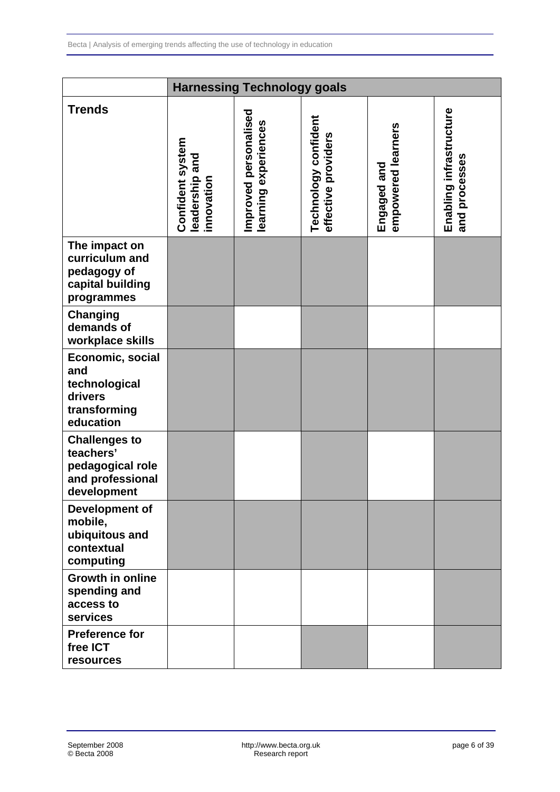| <b>Harnessing Technology goals</b>                                                       |                                                     |                                               |                                             |                                   |                                          |
|------------------------------------------------------------------------------------------|-----------------------------------------------------|-----------------------------------------------|---------------------------------------------|-----------------------------------|------------------------------------------|
| <b>Trends</b>                                                                            | Confident system<br>and<br>leadership<br>innovation | Improved personalised<br>learning experiences | Technology confident<br>effective providers | empowered learners<br>Engaged and | Enabling infrastructure<br>and processes |
| The impact on<br>curriculum and<br>pedagogy of<br>capital building<br>programmes         |                                                     |                                               |                                             |                                   |                                          |
| <b>Changing</b><br>demands of<br>workplace skills                                        |                                                     |                                               |                                             |                                   |                                          |
| Economic, social<br>and<br>technological<br>drivers<br>transforming<br>education         |                                                     |                                               |                                             |                                   |                                          |
| <b>Challenges to</b><br>teachers'<br>pedagogical role<br>and professional<br>development |                                                     |                                               |                                             |                                   |                                          |
| Development of<br>mobile,<br>ubiquitous and<br>contextual<br>computing                   |                                                     |                                               |                                             |                                   |                                          |
| <b>Growth in online</b><br>spending and<br>access to<br>services                         |                                                     |                                               |                                             |                                   |                                          |
| <b>Preference for</b><br>free ICT<br>resources                                           |                                                     |                                               |                                             |                                   |                                          |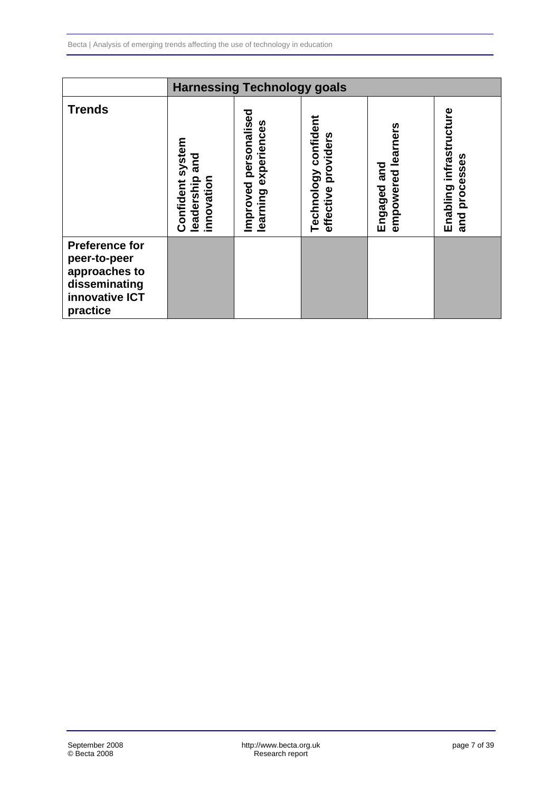|                                                                                                       | <b>Harnessing Technology goals</b>                  |                                                  |                                                   |                                   |                                                |
|-------------------------------------------------------------------------------------------------------|-----------------------------------------------------|--------------------------------------------------|---------------------------------------------------|-----------------------------------|------------------------------------------------|
| <b>Trends</b>                                                                                         | Confident system<br>and<br>leadership<br>innovation | personalised<br>learning experiences<br>Improved | confident<br>providers<br>Technology<br>effective | empowered learners<br>Engaged and | infrastructure<br>processes<br>Enabling<br>and |
| <b>Preference for</b><br>peer-to-peer<br>approaches to<br>disseminating<br>innovative ICT<br>practice |                                                     |                                                  |                                                   |                                   |                                                |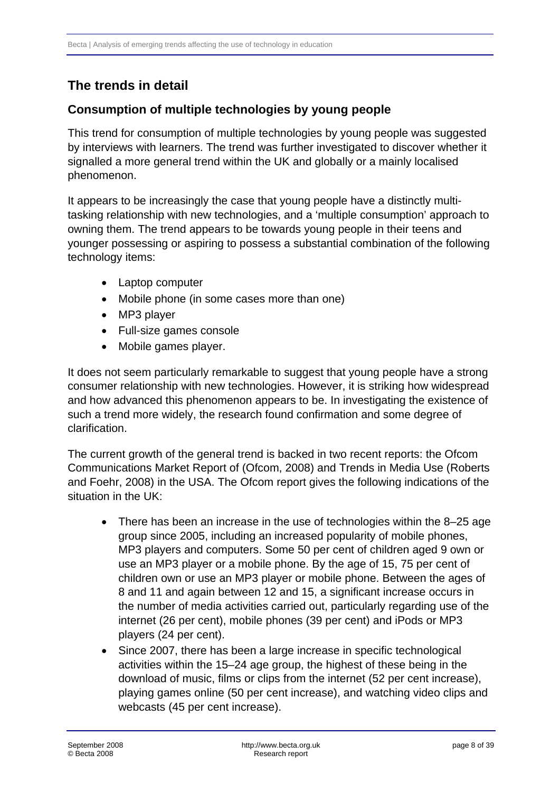# <span id="page-7-0"></span>**The trends in detail**

### **Consumption of multiple technologies by young people**

This trend for consumption of multiple technologies by young people was suggested by interviews with learners. The trend was further investigated to discover whether it signalled a more general trend within the UK and globally or a mainly localised phenomenon.

It appears to be increasingly the case that young people have a distinctly multitasking relationship with new technologies, and a 'multiple consumption' approach to owning them. The trend appears to be towards young people in their teens and younger possessing or aspiring to possess a substantial combination of the following technology items:

- Laptop computer
- Mobile phone (in some cases more than one)
- MP3 player
- Full-size games console
- Mobile games player.

It does not seem particularly remarkable to suggest that young people have a strong consumer relationship with new technologies. However, it is striking how widespread and how advanced this phenomenon appears to be. In investigating the existence of such a trend more widely, the research found confirmation and some degree of clarification.

The current growth of the general trend is backed in two recent reports: the Ofcom Communications Market Report of (Ofcom, 2008) and Trends in Media Use (Roberts and Foehr, 2008) in the USA. The Ofcom report gives the following indications of the situation in the UK:

- There has been an increase in the use of technologies within the 8–25 age group since 2005, including an increased popularity of mobile phones, MP3 players and computers. Some 50 per cent of children aged 9 own or use an MP3 player or a mobile phone. By the age of 15, 75 per cent of children own or use an MP3 player or mobile phone. Between the ages of 8 and 11 and again between 12 and 15, a significant increase occurs in the number of media activities carried out, particularly regarding use of the internet (26 per cent), mobile phones (39 per cent) and iPods or MP3 players (24 per cent).
- Since 2007, there has been a large increase in specific technological activities within the 15–24 age group, the highest of these being in the download of music, films or clips from the internet (52 per cent increase), playing games online (50 per cent increase), and watching video clips and webcasts (45 per cent increase).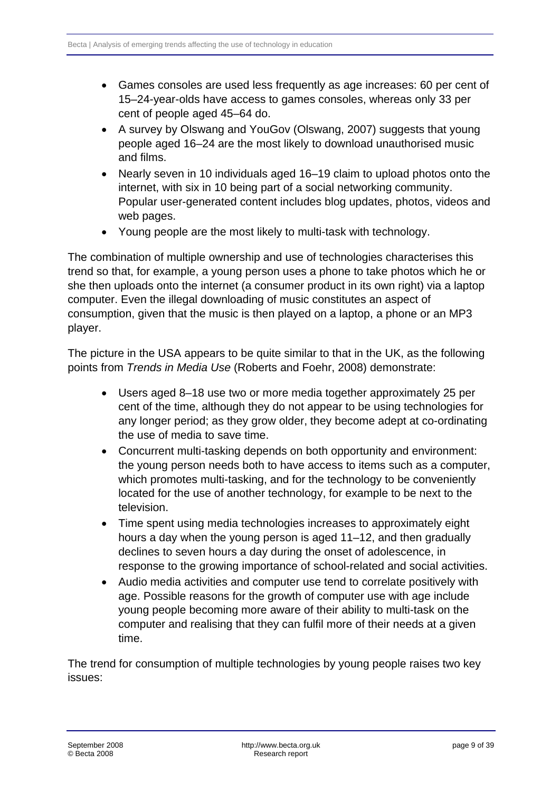- Games consoles are used less frequently as age increases: 60 per cent of 15–24-year-olds have access to games consoles, whereas only 33 per cent of people aged 45–64 do.
- A survey by Olswang and YouGov (Olswang, 2007) suggests that young people aged 16–24 are the most likely to download unauthorised music and films.
- Nearly seven in 10 individuals aged 16–19 claim to upload photos onto the internet, with six in 10 being part of a social networking community. Popular user-generated content includes blog updates, photos, videos and web pages.
- Young people are the most likely to multi-task with technology.

The combination of multiple ownership and use of technologies characterises this trend so that, for example, a young person uses a phone to take photos which he or she then uploads onto the internet (a consumer product in its own right) via a laptop computer. Even the illegal downloading of music constitutes an aspect of consumption, given that the music is then played on a laptop, a phone or an MP3 player.

The picture in the USA appears to be quite similar to that in the UK, as the following points from *Trends in Media Use* (Roberts and Foehr, 2008) demonstrate:

- Users aged 8–18 use two or more media together approximately 25 per cent of the time, although they do not appear to be using technologies for any longer period; as they grow older, they become adept at co-ordinating the use of media to save time.
- Concurrent multi-tasking depends on both opportunity and environment: the young person needs both to have access to items such as a computer, which promotes multi-tasking, and for the technology to be conveniently located for the use of another technology, for example to be next to the television.
- Time spent using media technologies increases to approximately eight hours a day when the young person is aged 11–12, and then gradually declines to seven hours a day during the onset of adolescence, in response to the growing importance of school-related and social activities.
- Audio media activities and computer use tend to correlate positively with age. Possible reasons for the growth of computer use with age include young people becoming more aware of their ability to multi-task on the computer and realising that they can fulfil more of their needs at a given time.

The trend for consumption of multiple technologies by young people raises two key issues: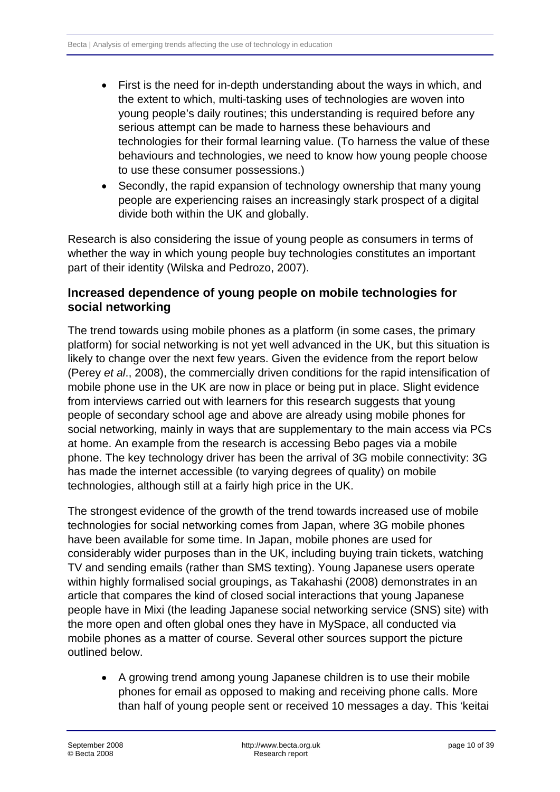- <span id="page-9-0"></span>First is the need for in-depth understanding about the ways in which, and the extent to which, multi-tasking uses of technologies are woven into young people's daily routines; this understanding is required before any serious attempt can be made to harness these behaviours and technologies for their formal learning value. (To harness the value of these behaviours and technologies, we need to know how young people choose to use these consumer possessions.)
- Secondly, the rapid expansion of technology ownership that many young people are experiencing raises an increasingly stark prospect of a digital divide both within the UK and globally.

Research is also considering the issue of young people as consumers in terms of whether the way in which young people buy technologies constitutes an important part of their identity (Wilska and Pedrozo, 2007).

### **Increased dependence of young people on mobile technologies for social networking**

The trend towards using mobile phones as a platform (in some cases, the primary platform) for social networking is not yet well advanced in the UK, but this situation is likely to change over the next few years. Given the evidence from the report below (Perey *et al*., 2008), the commercially driven conditions for the rapid intensification of mobile phone use in the UK are now in place or being put in place. Slight evidence from interviews carried out with learners for this research suggests that young people of secondary school age and above are already using mobile phones for social networking, mainly in ways that are supplementary to the main access via PCs at home. An example from the research is accessing Bebo pages via a mobile phone. The key technology driver has been the arrival of 3G mobile connectivity: 3G has made the internet accessible (to varying degrees of quality) on mobile technologies, although still at a fairly high price in the UK.

The strongest evidence of the growth of the trend towards increased use of mobile technologies for social networking comes from Japan, where 3G mobile phones have been available for some time. In Japan, mobile phones are used for considerably wider purposes than in the UK, including buying train tickets, watching TV and sending emails (rather than SMS texting). Young Japanese users operate within highly formalised social groupings, as Takahashi (2008) demonstrates in an article that compares the kind of closed social interactions that young Japanese people have in Mixi (the leading Japanese social networking service (SNS) site) with the more open and often global ones they have in MySpace, all conducted via mobile phones as a matter of course. Several other sources support the picture outlined below.

• A growing trend among young Japanese children is to use their mobile phones for email as opposed to making and receiving phone calls. More than half of young people sent or received 10 messages a day. This 'keitai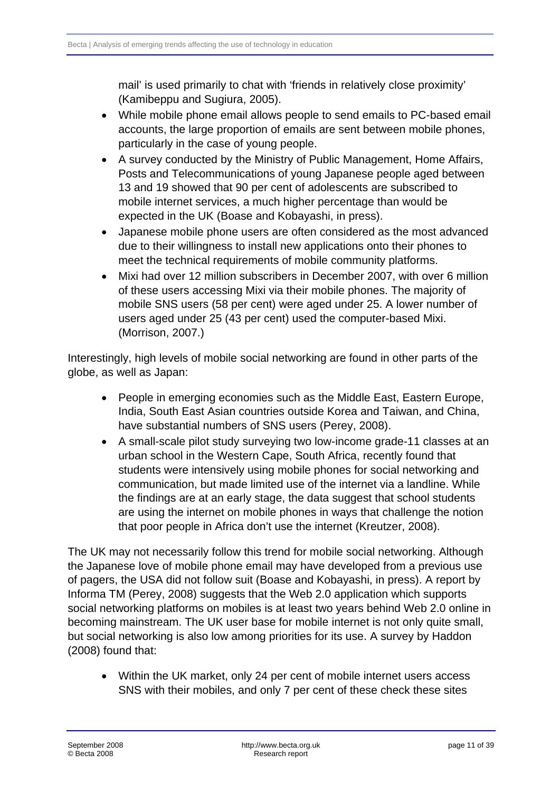mail' is used primarily to chat with 'friends in relatively close proximity' (Kamibeppu and Sugiura, 2005).

- While mobile phone email allows people to send emails to PC-based email accounts, the large proportion of emails are sent between mobile phones, particularly in the case of young people.
- A survey conducted by the Ministry of Public Management, Home Affairs, Posts and Telecommunications of young Japanese people aged between 13 and 19 showed that 90 per cent of adolescents are subscribed to mobile internet services, a much higher percentage than would be expected in the UK (Boase and Kobayashi, in press).
- Japanese mobile phone users are often considered as the most advanced due to their willingness to install new applications onto their phones to meet the technical requirements of mobile community platforms.
- Mixi had over 12 million subscribers in December 2007, with over 6 million of these users accessing Mixi via their mobile phones. The majority of mobile SNS users (58 per cent) were aged under 25. A lower number of users aged under 25 (43 per cent) used the computer-based Mixi. (Morrison, 2007.)

Interestingly, high levels of mobile social networking are found in other parts of the globe, as well as Japan:

- People in emerging economies such as the Middle East, Eastern Europe, India, South East Asian countries outside Korea and Taiwan, and China, have substantial numbers of SNS users (Perey, 2008).
- A small-scale pilot study surveying two low-income grade-11 classes at an urban school in the Western Cape, South Africa, recently found that students were intensively using mobile phones for social networking and communication, but made limited use of the internet via a landline. While the findings are at an early stage, the data suggest that school students are using the internet on mobile phones in ways that challenge the notion that poor people in Africa don't use the internet (Kreutzer, 2008).

The UK may not necessarily follow this trend for mobile social networking. Although the Japanese love of mobile phone email may have developed from a previous use of pagers, the USA did not follow suit (Boase and Kobayashi, in press). A report by Informa TM (Perey, 2008) suggests that the Web 2.0 application which supports social networking platforms on mobiles is at least two years behind Web 2.0 online in becoming mainstream. The UK user base for mobile internet is not only quite small, but social networking is also low among priorities for its use. A survey by Haddon (2008) found that:

• Within the UK market, only 24 per cent of mobile internet users access SNS with their mobiles, and only 7 per cent of these check these sites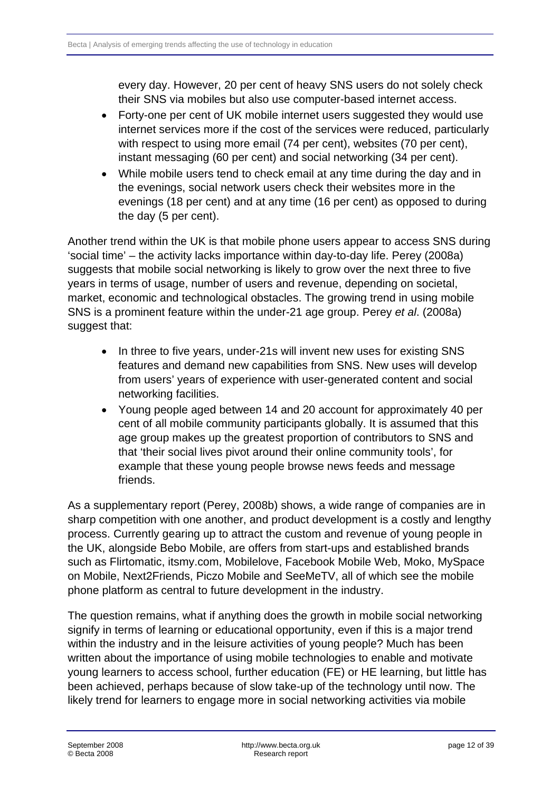every day. However, 20 per cent of heavy SNS users do not solely check their SNS via mobiles but also use computer-based internet access.

- Forty-one per cent of UK mobile internet users suggested they would use internet services more if the cost of the services were reduced, particularly with respect to using more email (74 per cent), websites (70 per cent), instant messaging (60 per cent) and social networking (34 per cent).
- While mobile users tend to check email at any time during the day and in the evenings, social network users check their websites more in the evenings (18 per cent) and at any time (16 per cent) as opposed to during the day (5 per cent).

Another trend within the UK is that mobile phone users appear to access SNS during 'social time' – the activity lacks importance within day-to-day life. Perey (2008a) suggests that mobile social networking is likely to grow over the next three to five years in terms of usage, number of users and revenue, depending on societal, market, economic and technological obstacles. The growing trend in using mobile SNS is a prominent feature within the under-21 age group. Perey *et al*. (2008a) suggest that:

- In three to five years, under-21s will invent new uses for existing SNS features and demand new capabilities from SNS. New uses will develop from users' years of experience with user-generated content and social networking facilities.
- Young people aged between 14 and 20 account for approximately 40 per cent of all mobile community participants globally. It is assumed that this age group makes up the greatest proportion of contributors to SNS and that 'their social lives pivot around their online community tools', for example that these young people browse news feeds and message friends.

As a supplementary report (Perey, 2008b) shows, a wide range of companies are in sharp competition with one another, and product development is a costly and lengthy process. Currently gearing up to attract the custom and revenue of young people in the UK, alongside Bebo Mobile, are offers from start-ups and established brands such as Flirtomatic, itsmy.com, Mobilelove, Facebook Mobile Web, Moko, MySpace on Mobile, Next2Friends, Piczo Mobile and SeeMeTV, all of which see the mobile phone platform as central to future development in the industry.

The question remains, what if anything does the growth in mobile social networking signify in terms of learning or educational opportunity, even if this is a major trend within the industry and in the leisure activities of young people? Much has been written about the importance of using mobile technologies to enable and motivate young learners to access school, further education (FE) or HE learning, but little has been achieved, perhaps because of slow take-up of the technology until now. The likely trend for learners to engage more in social networking activities via mobile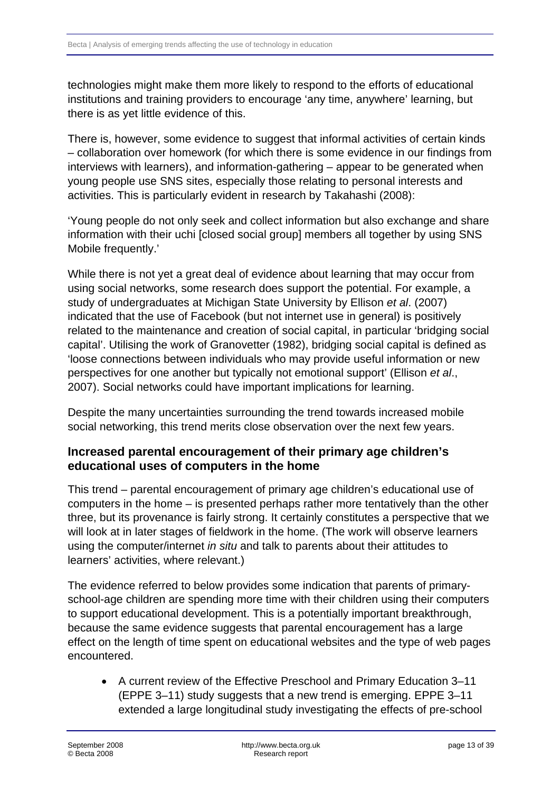<span id="page-12-0"></span>technologies might make them more likely to respond to the efforts of educational institutions and training providers to encourage 'any time, anywhere' learning, but there is as yet little evidence of this.

There is, however, some evidence to suggest that informal activities of certain kinds – collaboration over homework (for which there is some evidence in our findings from interviews with learners), and information-gathering – appear to be generated when young people use SNS sites, especially those relating to personal interests and activities. This is particularly evident in research by Takahashi (2008):

'Young people do not only seek and collect information but also exchange and share information with their uchi [closed social group] members all together by using SNS Mobile frequently.'

While there is not yet a great deal of evidence about learning that may occur from using social networks, some research does support the potential. For example, a study of undergraduates at Michigan State University by Ellison *et al*. (2007) indicated that the use of Facebook (but not internet use in general) is positively related to the maintenance and creation of social capital, in particular 'bridging social capital'. Utilising the work of Granovetter (1982), bridging social capital is defined as 'loose connections between individuals who may provide useful information or new perspectives for one another but typically not emotional support' (Ellison *et al*., 2007). Social networks could have important implications for learning.

Despite the many uncertainties surrounding the trend towards increased mobile social networking, this trend merits close observation over the next few years.

#### **Increased parental encouragement of their primary age children's educational uses of computers in the home**

This trend – parental encouragement of primary age children's educational use of computers in the home – is presented perhaps rather more tentatively than the other three, but its provenance is fairly strong. It certainly constitutes a perspective that we will look at in later stages of fieldwork in the home. (The work will observe learners using the computer/internet *in situ* and talk to parents about their attitudes to learners' activities, where relevant.)

The evidence referred to below provides some indication that parents of primaryschool-age children are spending more time with their children using their computers to support educational development. This is a potentially important breakthrough, because the same evidence suggests that parental encouragement has a large effect on the length of time spent on educational websites and the type of web pages encountered.

• A current review of the Effective Preschool and Primary Education 3–11 (EPPE 3–11) study suggests that a new trend is emerging. EPPE 3–11 extended a large longitudinal study investigating the effects of pre-school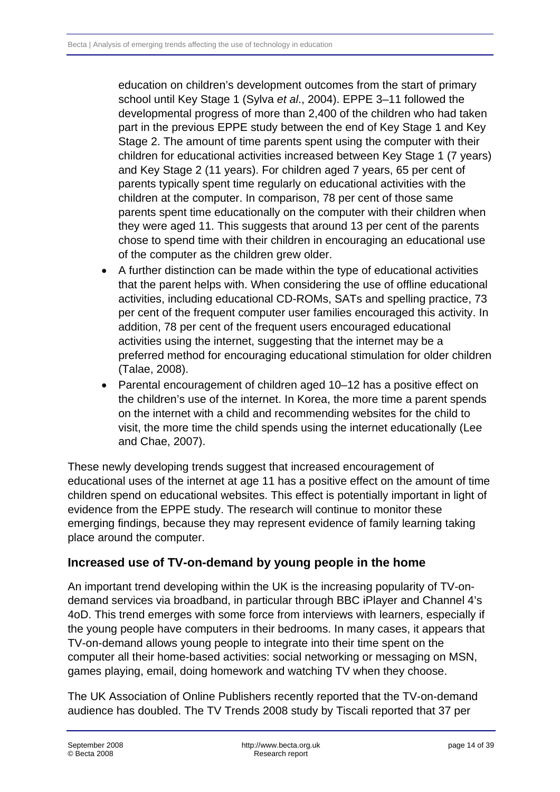<span id="page-13-0"></span>education on children's development outcomes from the start of primary school until Key Stage 1 (Sylva *et al*., 2004). EPPE 3–11 followed the developmental progress of more than 2,400 of the children who had taken part in the previous EPPE study between the end of Key Stage 1 and Key Stage 2. The amount of time parents spent using the computer with their children for educational activities increased between Key Stage 1 (7 years) and Key Stage 2 (11 years). For children aged 7 years, 65 per cent of parents typically spent time regularly on educational activities with the children at the computer. In comparison, 78 per cent of those same parents spent time educationally on the computer with their children when they were aged 11. This suggests that around 13 per cent of the parents chose to spend time with their children in encouraging an educational use of the computer as the children grew older.

- A further distinction can be made within the type of educational activities that the parent helps with. When considering the use of offline educational activities, including educational CD-ROMs, SATs and spelling practice, 73 per cent of the frequent computer user families encouraged this activity. In addition, 78 per cent of the frequent users encouraged educational activities using the internet, suggesting that the internet may be a preferred method for encouraging educational stimulation for older children (Talae, 2008).
- Parental encouragement of children aged 10–12 has a positive effect on the children's use of the internet. In Korea, the more time a parent spends on the internet with a child and recommending websites for the child to visit, the more time the child spends using the internet educationally (Lee and Chae, 2007).

These newly developing trends suggest that increased encouragement of educational uses of the internet at age 11 has a positive effect on the amount of time children spend on educational websites. This effect is potentially important in light of evidence from the EPPE study. The research will continue to monitor these emerging findings, because they may represent evidence of family learning taking place around the computer.

# **Increased use of TV-on-demand by young people in the home**

An important trend developing within the UK is the increasing popularity of TV-ondemand services via broadband, in particular through BBC iPlayer and Channel 4's 4oD. This trend emerges with some force from interviews with learners, especially if the young people have computers in their bedrooms. In many cases, it appears that TV-on-demand allows young people to integrate into their time spent on the computer all their home-based activities: social networking or messaging on MSN, games playing, email, doing homework and watching TV when they choose.

The UK Association of Online Publishers recently reported that the TV-on-demand audience has doubled. The TV Trends 2008 study by Tiscali reported that 37 per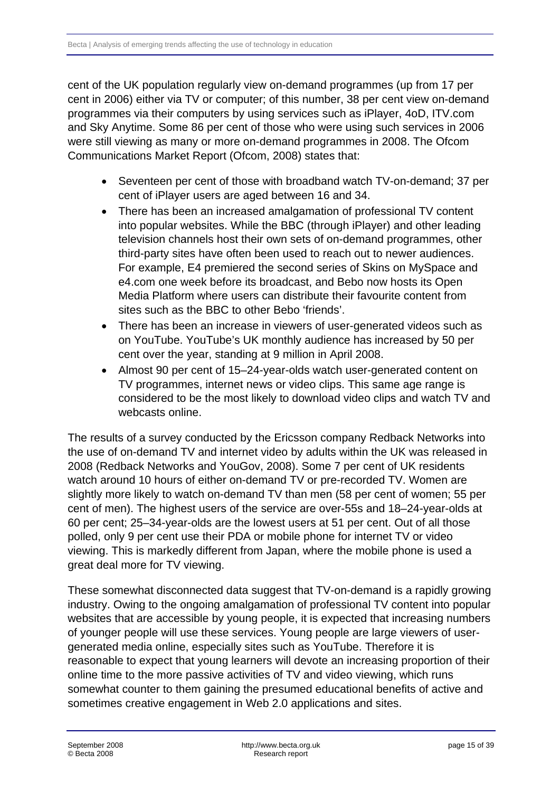cent of the UK population regularly view on-demand programmes (up from 17 per cent in 2006) either via TV or computer; of this number, 38 per cent view on-demand programmes via their computers by using services such as iPlayer, 4oD, ITV.com and Sky Anytime. Some 86 per cent of those who were using such services in 2006 were still viewing as many or more on-demand programmes in 2008. The Ofcom Communications Market Report (Ofcom, 2008) states that:

- Seventeen per cent of those with broadband watch TV-on-demand; 37 per cent of iPlayer users are aged between 16 and 34.
- There has been an increased amalgamation of professional TV content into popular websites. While the BBC (through iPlayer) and other leading television channels host their own sets of on-demand programmes, other third-party sites have often been used to reach out to newer audiences. For example, E4 premiered the second series of Skins on MySpace and e4.com one week before its broadcast, and Bebo now hosts its Open Media Platform where users can distribute their favourite content from sites such as the BBC to other Bebo 'friends'.
- There has been an increase in viewers of user-generated videos such as on YouTube. YouTube's UK monthly audience has increased by 50 per cent over the year, standing at 9 million in April 2008.
- Almost 90 per cent of 15–24-year-olds watch user-generated content on TV programmes, internet news or video clips. This same age range is considered to be the most likely to download video clips and watch TV and webcasts online

The results of a survey conducted by the Ericsson company Redback Networks into the use of on-demand TV and internet video by adults within the UK was released in 2008 (Redback Networks and YouGov, 2008). Some 7 per cent of UK residents watch around 10 hours of either on-demand TV or pre-recorded TV. Women are slightly more likely to watch on-demand TV than men (58 per cent of women; 55 per cent of men). The highest users of the service are over-55s and 18–24-year-olds at 60 per cent; 25–34-year-olds are the lowest users at 51 per cent. Out of all those polled, only 9 per cent use their PDA or mobile phone for internet TV or video viewing. This is markedly different from Japan, where the mobile phone is used a great deal more for TV viewing.

These somewhat disconnected data suggest that TV-on-demand is a rapidly growing industry. Owing to the ongoing amalgamation of professional TV content into popular websites that are accessible by young people, it is expected that increasing numbers of younger people will use these services. Young people are large viewers of usergenerated media online, especially sites such as YouTube. Therefore it is reasonable to expect that young learners will devote an increasing proportion of their online time to the more passive activities of TV and video viewing, which runs somewhat counter to them gaining the presumed educational benefits of active and sometimes creative engagement in Web 2.0 applications and sites.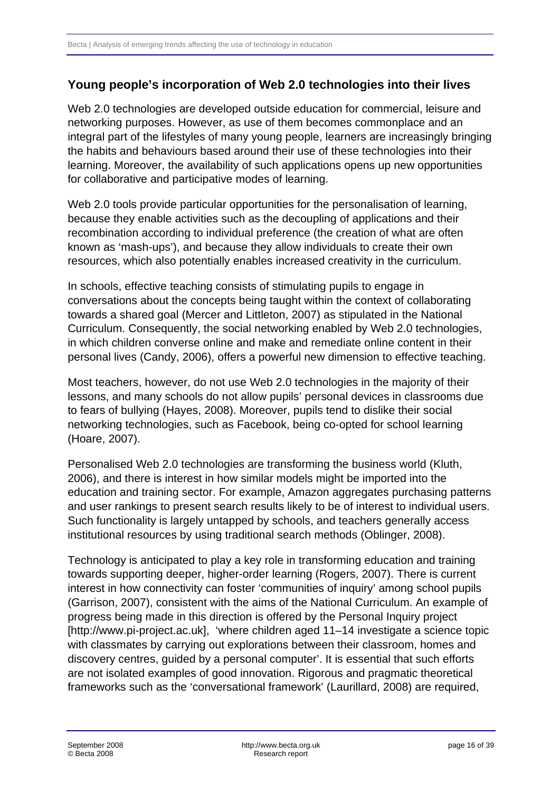## <span id="page-15-0"></span>**Young people's incorporation of Web 2.0 technologies into their lives**

Web 2.0 technologies are developed outside education for commercial, leisure and networking purposes. However, as use of them becomes commonplace and an integral part of the lifestyles of many young people, learners are increasingly bringing the habits and behaviours based around their use of these technologies into their learning. Moreover, the availability of such applications opens up new opportunities for collaborative and participative modes of learning.

Web 2.0 tools provide particular opportunities for the personalisation of learning, because they enable activities such as the decoupling of applications and their recombination according to individual preference (the creation of what are often known as 'mash-ups'), and because they allow individuals to create their own resources, which also potentially enables increased creativity in the curriculum.

In schools, effective teaching consists of stimulating pupils to engage in conversations about the concepts being taught within the context of collaborating towards a shared goal (Mercer and Littleton, 2007) as stipulated in the National Curriculum. Consequently, the social networking enabled by Web 2.0 technologies, in which children converse online and make and remediate online content in their personal lives (Candy, 2006), offers a powerful new dimension to effective teaching.

Most teachers, however, do not use Web 2.0 technologies in the majority of their lessons, and many schools do not allow pupils' personal devices in classrooms due to fears of bullying (Hayes, 2008). Moreover, pupils tend to dislike their social networking technologies, such as Facebook, being co-opted for school learning (Hoare, 2007).

Personalised Web 2.0 technologies are transforming the business world (Kluth, 2006), and there is interest in how similar models might be imported into the education and training sector. For example, Amazon aggregates purchasing patterns and user rankings to present search results likely to be of interest to individual users. Such functionality is largely untapped by schools, and teachers generally access institutional resources by using traditional search methods (Oblinger, 2008).

Technology is anticipated to play a key role in transforming education and training towards supporting deeper, higher-order learning (Rogers, 2007). There is current interest in how connectivity can foster 'communities of inquiry' among school pupils (Garrison, 2007), consistent with the aims of the National Curriculum. An example of progress being made in this direction is offered by the Personal Inquiry project [http://www.pi-project.ac.uk], 'where children aged 11–14 investigate a science topic with classmates by carrying out explorations between their classroom, homes and discovery centres, guided by a personal computer'. It is essential that such efforts are not isolated examples of good innovation. Rigorous and pragmatic theoretical frameworks such as the 'conversational framework' (Laurillard, 2008) are required,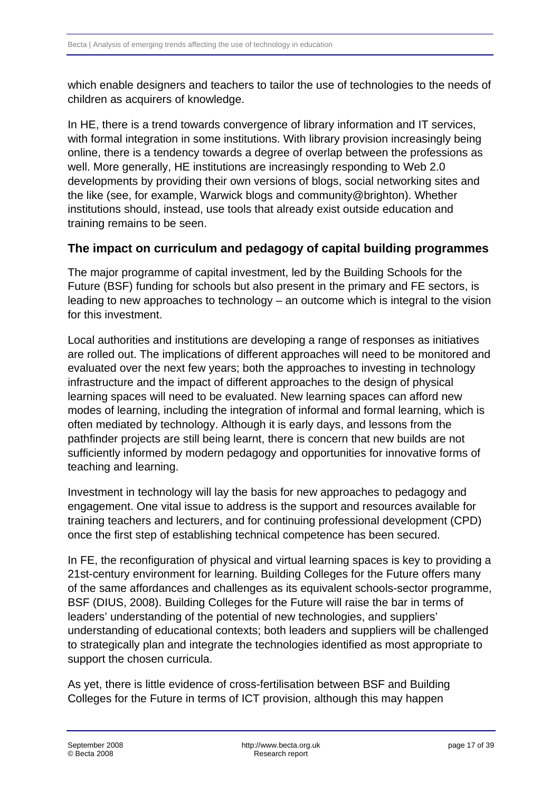<span id="page-16-0"></span>which enable designers and teachers to tailor the use of technologies to the needs of children as acquirers of knowledge.

In HE, there is a trend towards convergence of library information and IT services, with formal integration in some institutions. With library provision increasingly being online, there is a tendency towards a degree of overlap between the professions as well. More generally, HE institutions are increasingly responding to Web 2.0 developments by providing their own versions of blogs, social networking sites and the like (see, for example, Warwick blogs and community@brighton). Whether institutions should, instead, use tools that already exist outside education and training remains to be seen.

#### **The impact on curriculum and pedagogy of capital building programmes**

The major programme of capital investment, led by the Building Schools for the Future (BSF) funding for schools but also present in the primary and FE sectors, is leading to new approaches to technology – an outcome which is integral to the vision for this investment.

Local authorities and institutions are developing a range of responses as initiatives are rolled out. The implications of different approaches will need to be monitored and evaluated over the next few years; both the approaches to investing in technology infrastructure and the impact of different approaches to the design of physical learning spaces will need to be evaluated. New learning spaces can afford new modes of learning, including the integration of informal and formal learning, which is often mediated by technology. Although it is early days, and lessons from the pathfinder projects are still being learnt, there is concern that new builds are not sufficiently informed by modern pedagogy and opportunities for innovative forms of teaching and learning.

Investment in technology will lay the basis for new approaches to pedagogy and engagement. One vital issue to address is the support and resources available for training teachers and lecturers, and for continuing professional development (CPD) once the first step of establishing technical competence has been secured.

In FE, the reconfiguration of physical and virtual learning spaces is key to providing a 21st-century environment for learning. Building Colleges for the Future offers many of the same affordances and challenges as its equivalent schools-sector programme, BSF (DIUS, 2008). Building Colleges for the Future will raise the bar in terms of leaders' understanding of the potential of new technologies, and suppliers' understanding of educational contexts; both leaders and suppliers will be challenged to strategically plan and integrate the technologies identified as most appropriate to support the chosen curricula.

As yet, there is little evidence of cross-fertilisation between BSF and Building Colleges for the Future in terms of ICT provision, although this may happen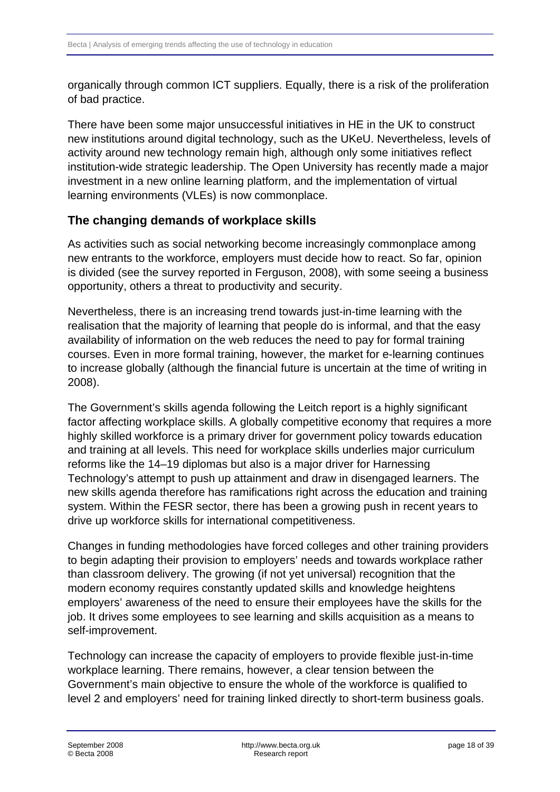<span id="page-17-0"></span>organically through common ICT suppliers. Equally, there is a risk of the proliferation of bad practice.

There have been some major unsuccessful initiatives in HE in the UK to construct new institutions around digital technology, such as the UKeU. Nevertheless, levels of activity around new technology remain high, although only some initiatives reflect institution-wide strategic leadership. The Open University has recently made a major investment in a new online learning platform, and the implementation of virtual learning environments (VLEs) is now commonplace.

## **The changing demands of workplace skills**

As activities such as social networking become increasingly commonplace among new entrants to the workforce, employers must decide how to react. So far, opinion is divided (see the survey reported in Ferguson, 2008), with some seeing a business opportunity, others a threat to productivity and security.

Nevertheless, there is an increasing trend towards just-in-time learning with the realisation that the majority of learning that people do is informal, and that the easy availability of information on the web reduces the need to pay for formal training courses. Even in more formal training, however, the market for e-learning continues to increase globally (although the financial future is uncertain at the time of writing in 2008).

The Government's skills agenda following the Leitch report is a highly significant factor affecting workplace skills. A globally competitive economy that requires a more highly skilled workforce is a primary driver for government policy towards education and training at all levels. This need for workplace skills underlies major curriculum reforms like the 14–19 diplomas but also is a major driver for Harnessing Technology's attempt to push up attainment and draw in disengaged learners. The new skills agenda therefore has ramifications right across the education and training system. Within the FESR sector, there has been a growing push in recent years to drive up workforce skills for international competitiveness.

Changes in funding methodologies have forced colleges and other training providers to begin adapting their provision to employers' needs and towards workplace rather than classroom delivery. The growing (if not yet universal) recognition that the modern economy requires constantly updated skills and knowledge heightens employers' awareness of the need to ensure their employees have the skills for the job. It drives some employees to see learning and skills acquisition as a means to self-improvement.

Technology can increase the capacity of employers to provide flexible just-in-time workplace learning. There remains, however, a clear tension between the Government's main objective to ensure the whole of the workforce is qualified to level 2 and employers' need for training linked directly to short-term business goals.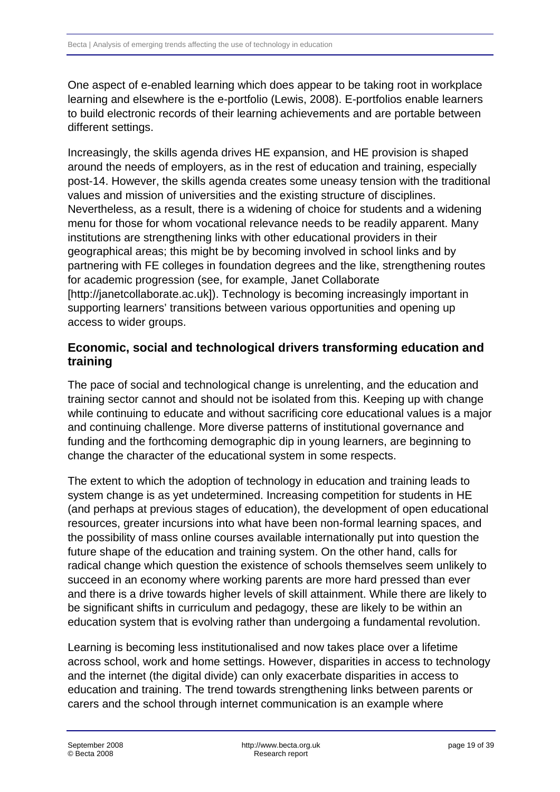<span id="page-18-0"></span>One aspect of e-enabled learning which does appear to be taking root in workplace learning and elsewhere is the e-portfolio (Lewis, 2008). E-portfolios enable learners to build electronic records of their learning achievements and are portable between different settings.

Increasingly, the skills agenda drives HE expansion, and HE provision is shaped around the needs of employers, as in the rest of education and training, especially post-14. However, the skills agenda creates some uneasy tension with the traditional values and mission of universities and the existing structure of disciplines. Nevertheless, as a result, there is a widening of choice for students and a widening menu for those for whom vocational relevance needs to be readily apparent. Many institutions are strengthening links with other educational providers in their geographical areas; this might be by becoming involved in school links and by partnering with FE colleges in foundation degrees and the like, strengthening routes for academic progression (see, for example, Janet Collaborate [http://janetcollaborate.ac.uk]). Technology is becoming increasingly important in supporting learners' transitions between various opportunities and opening up access to wider groups.

#### **Economic, social and technological drivers transforming education and training**

The pace of social and technological change is unrelenting, and the education and training sector cannot and should not be isolated from this. Keeping up with change while continuing to educate and without sacrificing core educational values is a major and continuing challenge. More diverse patterns of institutional governance and funding and the forthcoming demographic dip in young learners, are beginning to change the character of the educational system in some respects.

The extent to which the adoption of technology in education and training leads to system change is as yet undetermined. Increasing competition for students in HE (and perhaps at previous stages of education), the development of open educational resources, greater incursions into what have been non-formal learning spaces, and the possibility of mass online courses available internationally put into question the future shape of the education and training system. On the other hand, calls for radical change which question the existence of schools themselves seem unlikely to succeed in an economy where working parents are more hard pressed than ever and there is a drive towards higher levels of skill attainment. While there are likely to be significant shifts in curriculum and pedagogy, these are likely to be within an education system that is evolving rather than undergoing a fundamental revolution.

Learning is becoming less institutionalised and now takes place over a lifetime across school, work and home settings. However, disparities in access to technology and the internet (the digital divide) can only exacerbate disparities in access to education and training. The trend towards strengthening links between parents or carers and the school through internet communication is an example where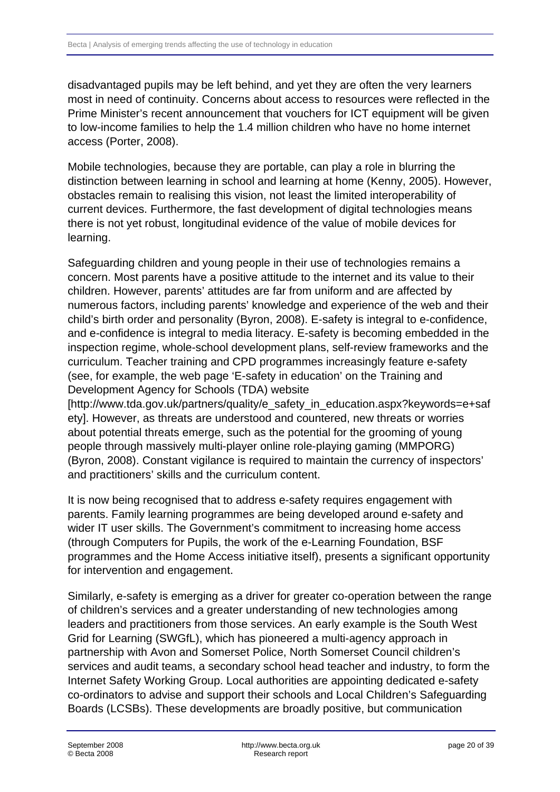disadvantaged pupils may be left behind, and yet they are often the very learners most in need of continuity. Concerns about access to resources were reflected in the Prime Minister's recent announcement that vouchers for ICT equipment will be given to low-income families to help the 1.4 million children who have no home internet access (Porter, 2008).

Mobile technologies, because they are portable, can play a role in blurring the distinction between learning in school and learning at home (Kenny, 2005). However, obstacles remain to realising this vision, not least the limited interoperability of current devices. Furthermore, the fast development of digital technologies means there is not yet robust, longitudinal evidence of the value of mobile devices for learning.

Safeguarding children and young people in their use of technologies remains a concern. Most parents have a positive attitude to the internet and its value to their children. However, parents' attitudes are far from uniform and are affected by numerous factors, including parents' knowledge and experience of the web and their child's birth order and personality (Byron, 2008). E-safety is integral to e-confidence, and e-confidence is integral to media literacy. E-safety is becoming embedded in the inspection regime, whole-school development plans, self-review frameworks and the curriculum. Teacher training and CPD programmes increasingly feature e-safety (see, for example, the web page 'E-safety in education' on the Training and Development Agency for Schools (TDA) website

[http://www.tda.gov.uk/partners/quality/e\_safety\_in\_education.aspx?keywords=e+saf ety]. However, as threats are understood and countered, new threats or worries about potential threats emerge, such as the potential for the grooming of young people through massively multi-player online role-playing gaming (MMPORG) (Byron, 2008). Constant vigilance is required to maintain the currency of inspectors' and practitioners' skills and the curriculum content.

It is now being recognised that to address e-safety requires engagement with parents. Family learning programmes are being developed around e-safety and wider IT user skills. The Government's commitment to increasing home access (through Computers for Pupils, the work of the e-Learning Foundation, BSF programmes and the Home Access initiative itself), presents a significant opportunity for intervention and engagement.

Similarly, e-safety is emerging as a driver for greater co-operation between the range of children's services and a greater understanding of new technologies among leaders and practitioners from those services. An early example is the South West Grid for Learning (SWGfL), which has pioneered a multi-agency approach in partnership with Avon and Somerset Police, North Somerset Council children's services and audit teams, a secondary school head teacher and industry, to form the Internet Safety Working Group. Local authorities are appointing dedicated e-safety co-ordinators to advise and support their schools and Local Children's Safeguarding Boards (LCSBs). These developments are broadly positive, but communication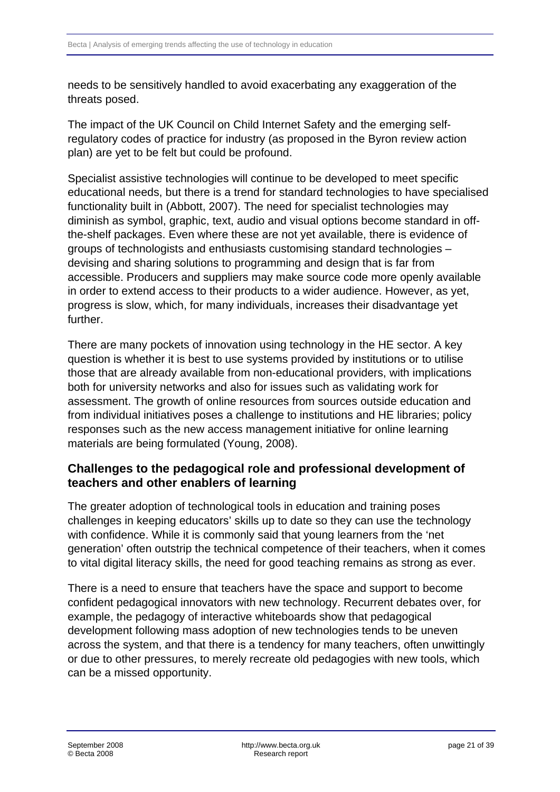<span id="page-20-0"></span>needs to be sensitively handled to avoid exacerbating any exaggeration of the threats posed.

The impact of the UK Council on Child Internet Safety and the emerging selfregulatory codes of practice for industry (as proposed in the Byron review action plan) are yet to be felt but could be profound.

Specialist assistive technologies will continue to be developed to meet specific educational needs, but there is a trend for standard technologies to have specialised functionality built in (Abbott, 2007). The need for specialist technologies may diminish as symbol, graphic, text, audio and visual options become standard in offthe-shelf packages. Even where these are not yet available, there is evidence of groups of technologists and enthusiasts customising standard technologies – devising and sharing solutions to programming and design that is far from accessible. Producers and suppliers may make source code more openly available in order to extend access to their products to a wider audience. However, as yet, progress is slow, which, for many individuals, increases their disadvantage yet further.

There are many pockets of innovation using technology in the HE sector. A key question is whether it is best to use systems provided by institutions or to utilise those that are already available from non-educational providers, with implications both for university networks and also for issues such as validating work for assessment. The growth of online resources from sources outside education and from individual initiatives poses a challenge to institutions and HE libraries; policy responses such as the new access management initiative for online learning materials are being formulated (Young, 2008).

## **Challenges to the pedagogical role and professional development of teachers and other enablers of learning**

The greater adoption of technological tools in education and training poses challenges in keeping educators' skills up to date so they can use the technology with confidence. While it is commonly said that young learners from the 'net generation' often outstrip the technical competence of their teachers, when it comes to vital digital literacy skills, the need for good teaching remains as strong as ever.

There is a need to ensure that teachers have the space and support to become confident pedagogical innovators with new technology. Recurrent debates over, for example, the pedagogy of interactive whiteboards show that pedagogical development following mass adoption of new technologies tends to be uneven across the system, and that there is a tendency for many teachers, often unwittingly or due to other pressures, to merely recreate old pedagogies with new tools, which can be a missed opportunity.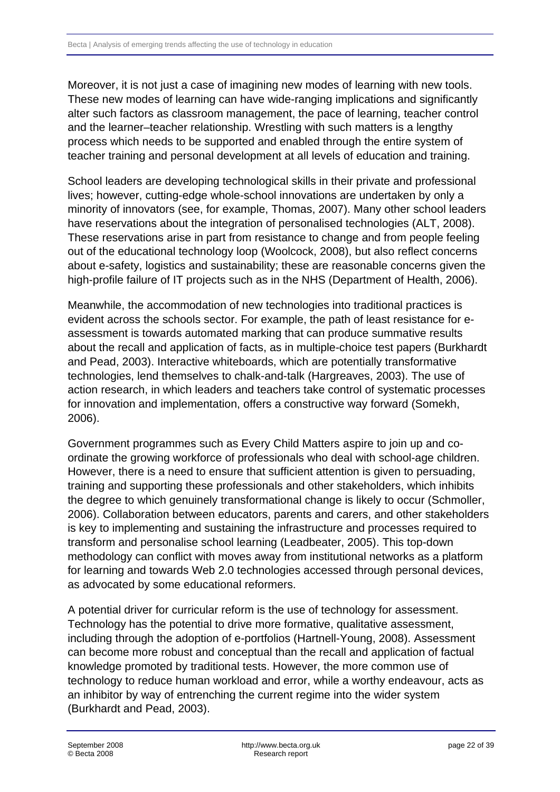Moreover, it is not just a case of imagining new modes of learning with new tools. These new modes of learning can have wide-ranging implications and significantly alter such factors as classroom management, the pace of learning, teacher control and the learner–teacher relationship. Wrestling with such matters is a lengthy process which needs to be supported and enabled through the entire system of teacher training and personal development at all levels of education and training.

School leaders are developing technological skills in their private and professional lives; however, cutting-edge whole-school innovations are undertaken by only a minority of innovators (see, for example, Thomas, 2007). Many other school leaders have reservations about the integration of personalised technologies (ALT, 2008). These reservations arise in part from resistance to change and from people feeling out of the educational technology loop (Woolcock, 2008), but also reflect concerns about e-safety, logistics and sustainability; these are reasonable concerns given the high-profile failure of IT projects such as in the NHS (Department of Health, 2006).

Meanwhile, the accommodation of new technologies into traditional practices is evident across the schools sector. For example, the path of least resistance for eassessment is towards automated marking that can produce summative results about the recall and application of facts, as in multiple-choice test papers (Burkhardt and Pead, 2003). Interactive whiteboards, which are potentially transformative technologies, lend themselves to chalk-and-talk (Hargreaves, 2003). The use of action research, in which leaders and teachers take control of systematic processes for innovation and implementation, offers a constructive way forward (Somekh, 2006).

Government programmes such as Every Child Matters aspire to join up and coordinate the growing workforce of professionals who deal with school-age children. However, there is a need to ensure that sufficient attention is given to persuading, training and supporting these professionals and other stakeholders, which inhibits the degree to which genuinely transformational change is likely to occur (Schmoller, 2006). Collaboration between educators, parents and carers, and other stakeholders is key to implementing and sustaining the infrastructure and processes required to transform and personalise school learning (Leadbeater, 2005). This top-down methodology can conflict with moves away from institutional networks as a platform for learning and towards Web 2.0 technologies accessed through personal devices, as advocated by some educational reformers.

A potential driver for curricular reform is the use of technology for assessment. Technology has the potential to drive more formative, qualitative assessment, including through the adoption of e-portfolios (Hartnell-Young, 2008). Assessment can become more robust and conceptual than the recall and application of factual knowledge promoted by traditional tests. However, the more common use of technology to reduce human workload and error, while a worthy endeavour, acts as an inhibitor by way of entrenching the current regime into the wider system (Burkhardt and Pead, 2003).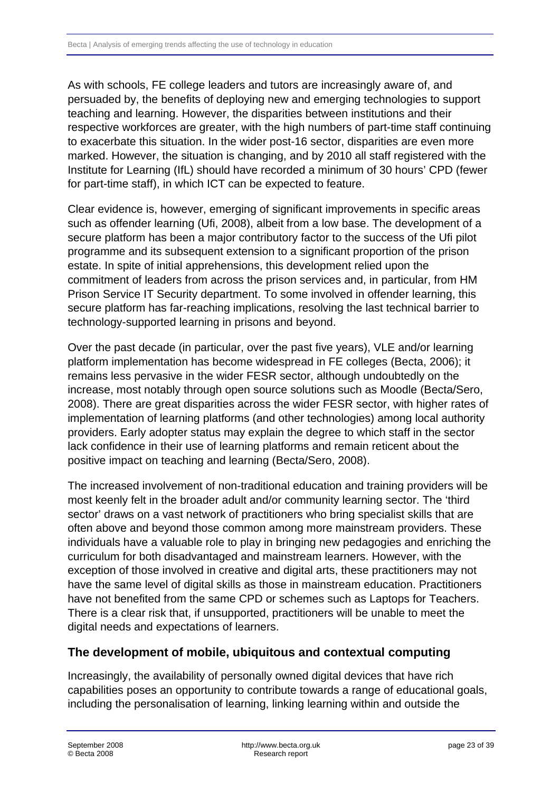<span id="page-22-0"></span>As with schools, FE college leaders and tutors are increasingly aware of, and persuaded by, the benefits of deploying new and emerging technologies to support teaching and learning. However, the disparities between institutions and their respective workforces are greater, with the high numbers of part-time staff continuing to exacerbate this situation. In the wider post-16 sector, disparities are even more marked. However, the situation is changing, and by 2010 all staff registered with the Institute for Learning (IfL) should have recorded a minimum of 30 hours' CPD (fewer for part-time staff), in which ICT can be expected to feature.

Clear evidence is, however, emerging of significant improvements in specific areas such as offender learning (Ufi, 2008), albeit from a low base. The development of a secure platform has been a major contributory factor to the success of the Ufi pilot programme and its subsequent extension to a significant proportion of the prison estate. In spite of initial apprehensions, this development relied upon the commitment of leaders from across the prison services and, in particular, from HM Prison Service IT Security department. To some involved in offender learning, this secure platform has far-reaching implications, resolving the last technical barrier to technology-supported learning in prisons and beyond.

Over the past decade (in particular, over the past five years), VLE and/or learning platform implementation has become widespread in FE colleges (Becta, 2006); it remains less pervasive in the wider FESR sector, although undoubtedly on the increase, most notably through open source solutions such as Moodle (Becta/Sero, 2008). There are great disparities across the wider FESR sector, with higher rates of implementation of learning platforms (and other technologies) among local authority providers. Early adopter status may explain the degree to which staff in the sector lack confidence in their use of learning platforms and remain reticent about the positive impact on teaching and learning (Becta/Sero, 2008).

The increased involvement of non-traditional education and training providers will be most keenly felt in the broader adult and/or community learning sector. The 'third sector' draws on a vast network of practitioners who bring specialist skills that are often above and beyond those common among more mainstream providers. These individuals have a valuable role to play in bringing new pedagogies and enriching the curriculum for both disadvantaged and mainstream learners. However, with the exception of those involved in creative and digital arts, these practitioners may not have the same level of digital skills as those in mainstream education. Practitioners have not benefited from the same CPD or schemes such as Laptops for Teachers. There is a clear risk that, if unsupported, practitioners will be unable to meet the digital needs and expectations of learners.

#### **The development of mobile, ubiquitous and contextual computing**

Increasingly, the availability of personally owned digital devices that have rich capabilities poses an opportunity to contribute towards a range of educational goals, including the personalisation of learning, linking learning within and outside the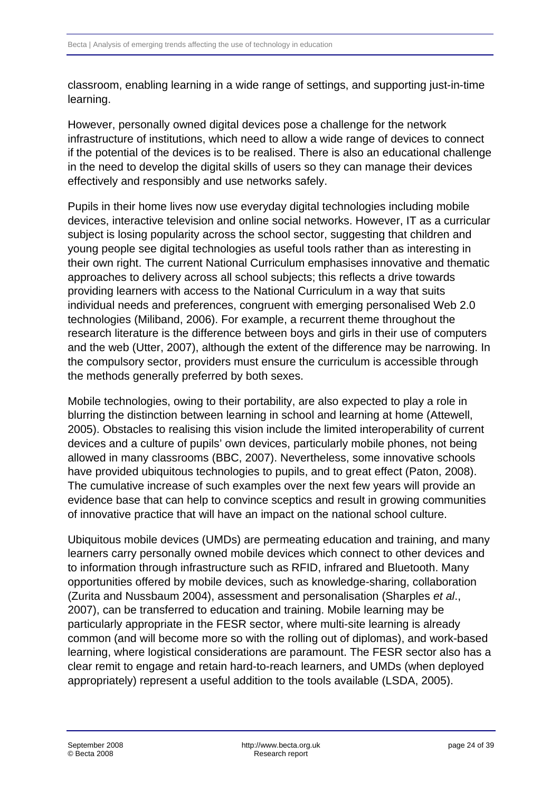classroom, enabling learning in a wide range of settings, and supporting just-in-time learning.

However, personally owned digital devices pose a challenge for the network infrastructure of institutions, which need to allow a wide range of devices to connect if the potential of the devices is to be realised. There is also an educational challenge in the need to develop the digital skills of users so they can manage their devices effectively and responsibly and use networks safely.

Pupils in their home lives now use everyday digital technologies including mobile devices, interactive television and online social networks. However, IT as a curricular subject is losing popularity across the school sector, suggesting that children and young people see digital technologies as useful tools rather than as interesting in their own right. The current National Curriculum emphasises innovative and thematic approaches to delivery across all school subjects; this reflects a drive towards providing learners with access to the National Curriculum in a way that suits individual needs and preferences, congruent with emerging personalised Web 2.0 technologies (Miliband, 2006). For example, a recurrent theme throughout the research literature is the difference between boys and girls in their use of computers and the web (Utter, 2007), although the extent of the difference may be narrowing. In the compulsory sector, providers must ensure the curriculum is accessible through the methods generally preferred by both sexes.

Mobile technologies, owing to their portability, are also expected to play a role in blurring the distinction between learning in school and learning at home (Attewell, 2005). Obstacles to realising this vision include the limited interoperability of current devices and a culture of pupils' own devices, particularly mobile phones, not being allowed in many classrooms (BBC, 2007). Nevertheless, some innovative schools have provided ubiquitous technologies to pupils, and to great effect (Paton, 2008). The cumulative increase of such examples over the next few years will provide an evidence base that can help to convince sceptics and result in growing communities of innovative practice that will have an impact on the national school culture.

Ubiquitous mobile devices (UMDs) are permeating education and training, and many learners carry personally owned mobile devices which connect to other devices and to information through infrastructure such as RFID, infrared and Bluetooth. Many opportunities offered by mobile devices, such as knowledge-sharing, collaboration (Zurita and Nussbaum 2004), assessment and personalisation (Sharples *et al*., 2007), can be transferred to education and training. Mobile learning may be particularly appropriate in the FESR sector, where multi-site learning is already common (and will become more so with the rolling out of diplomas), and work-based learning, where logistical considerations are paramount. The FESR sector also has a clear remit to engage and retain hard-to-reach learners, and UMDs (when deployed appropriately) represent a useful addition to the tools available (LSDA, 2005).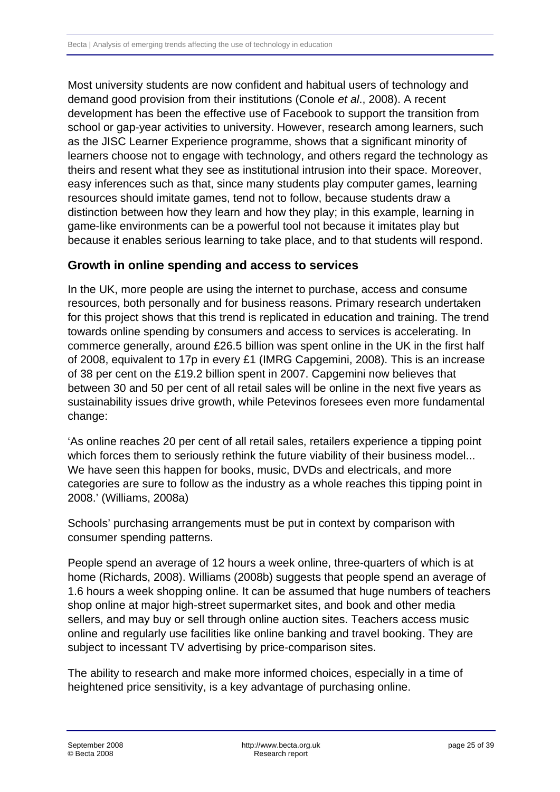<span id="page-24-0"></span>Most university students are now confident and habitual users of technology and demand good provision from their institutions (Conole *et al*., 2008). A recent development has been the effective use of Facebook to support the transition from school or gap-year activities to university. However, research among learners, such as the JISC Learner Experience programme, shows that a significant minority of learners choose not to engage with technology, and others regard the technology as theirs and resent what they see as institutional intrusion into their space. Moreover, easy inferences such as that, since many students play computer games, learning resources should imitate games, tend not to follow, because students draw a distinction between how they learn and how they play; in this example, learning in game-like environments can be a powerful tool not because it imitates play but because it enables serious learning to take place, and to that students will respond.

#### **Growth in online spending and access to services**

In the UK, more people are using the internet to purchase, access and consume resources, both personally and for business reasons. Primary research undertaken for this project shows that this trend is replicated in education and training. The trend towards online spending by consumers and access to services is accelerating. In commerce generally, around £26.5 billion was spent online in the UK in the first half of 2008, equivalent to 17p in every £1 (IMRG Capgemini, 2008). This is an increase of 38 per cent on the £19.2 billion spent in 2007. Capgemini now believes that between 30 and 50 per cent of all retail sales will be online in the next five years as sustainability issues drive growth, while Petevinos foresees even more fundamental change:

'As online reaches 20 per cent of all retail sales, retailers experience a tipping point which forces them to seriously rethink the future viability of their business model... We have seen this happen for books, music, DVDs and electricals, and more categories are sure to follow as the industry as a whole reaches this tipping point in 2008.' (Williams, 2008a)

Schools' purchasing arrangements must be put in context by comparison with consumer spending patterns.

People spend an average of 12 hours a week online, three-quarters of which is at home (Richards, 2008). Williams (2008b) suggests that people spend an average of 1.6 hours a week shopping online. It can be assumed that huge numbers of teachers shop online at major high-street supermarket sites, and book and other media sellers, and may buy or sell through online auction sites. Teachers access music online and regularly use facilities like online banking and travel booking. They are subject to incessant TV advertising by price-comparison sites.

The ability to research and make more informed choices, especially in a time of heightened price sensitivity, is a key advantage of purchasing online.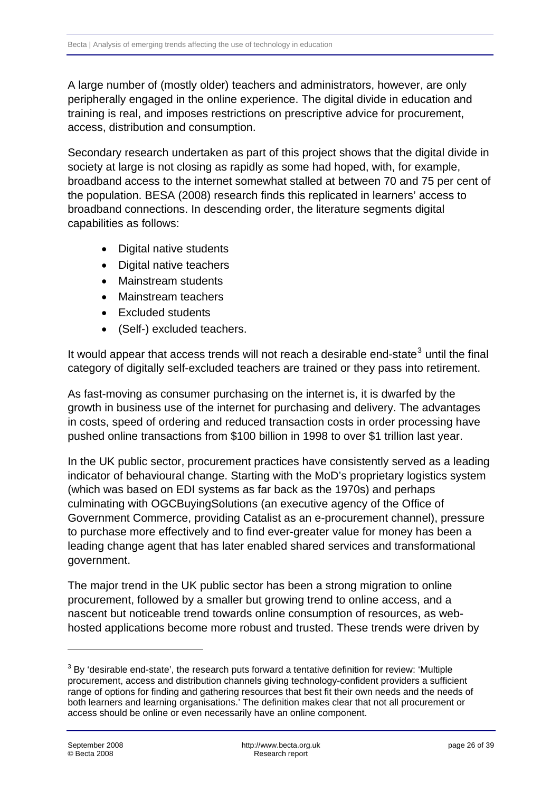A large number of (mostly older) teachers and administrators, however, are only peripherally engaged in the online experience. The digital divide in education and training is real, and imposes restrictions on prescriptive advice for procurement, access, distribution and consumption.

Secondary research undertaken as part of this project shows that the digital divide in society at large is not closing as rapidly as some had hoped, with, for example, broadband access to the internet somewhat stalled at between 70 and 75 per cent of the population. BESA (2008) research finds this replicated in learners' access to broadband connections. In descending order, the literature segments digital capabilities as follows:

- Digital native students
- Digital native teachers
- Mainstream students
- Mainstream teachers
- Excluded students
- (Self-) excluded teachers.

It would appear that access trends will not reach a desirable end-state $3$  until the final category of digitally self-excluded teachers are trained or they pass into retirement.

As fast-moving as consumer purchasing on the internet is, it is dwarfed by the growth in business use of the internet for purchasing and delivery. The advantages in costs, speed of ordering and reduced transaction costs in order processing have pushed online transactions from \$100 billion in 1998 to over \$1 trillion last year.

In the UK public sector, procurement practices have consistently served as a leading indicator of behavioural change. Starting with the MoD's proprietary logistics system (which was based on EDI systems as far back as the 1970s) and perhaps culminating with OGCBuyingSolutions (an executive agency of the Office of Government Commerce, providing Catalist as an e-procurement channel), pressure to purchase more effectively and to find ever-greater value for money has been a leading change agent that has later enabled shared services and transformational government.

The major trend in the UK public sector has been a strong migration to online procurement, followed by a smaller but growing trend to online access, and a nascent but noticeable trend towards online consumption of resources, as webhosted applications become more robust and trusted. These trends were driven by

-

<span id="page-25-0"></span> $3$  By 'desirable end-state', the research puts forward a tentative definition for review: 'Multiple procurement, access and distribution channels giving technology-confident providers a sufficient range of options for finding and gathering resources that best fit their own needs and the needs of both learners and learning organisations.' The definition makes clear that not all procurement or access should be online or even necessarily have an online component.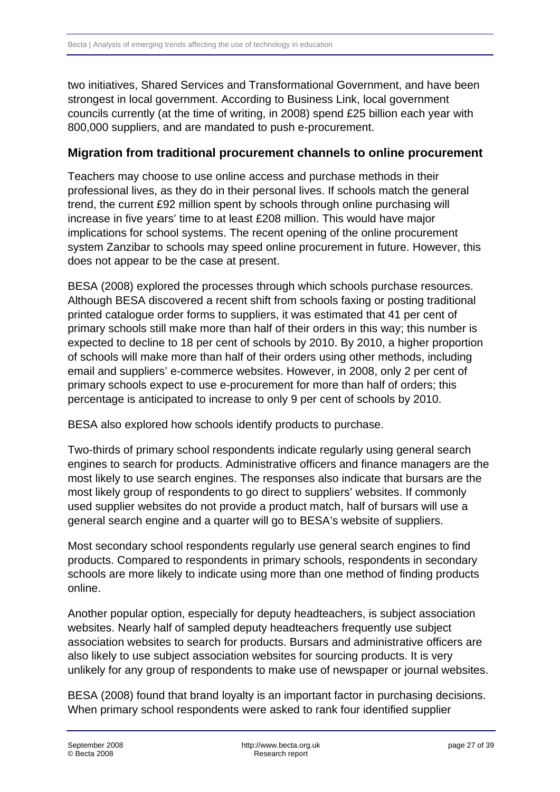<span id="page-26-0"></span>two initiatives, Shared Services and Transformational Government, and have been strongest in local government. According to Business Link, local government councils currently (at the time of writing, in 2008) spend £25 billion each year with 800,000 suppliers, and are mandated to push e-procurement.

#### **Migration from traditional procurement channels to online procurement**

Teachers may choose to use online access and purchase methods in their professional lives, as they do in their personal lives. If schools match the general trend, the current £92 million spent by schools through online purchasing will increase in five years' time to at least £208 million. This would have major implications for school systems. The recent opening of the online procurement system Zanzibar to schools may speed online procurement in future. However, this does not appear to be the case at present.

BESA (2008) explored the processes through which schools purchase resources. Although BESA discovered a recent shift from schools faxing or posting traditional printed catalogue order forms to suppliers, it was estimated that 41 per cent of primary schools still make more than half of their orders in this way; this number is expected to decline to 18 per cent of schools by 2010. By 2010, a higher proportion of schools will make more than half of their orders using other methods, including email and suppliers' e-commerce websites. However, in 2008, only 2 per cent of primary schools expect to use e-procurement for more than half of orders; this percentage is anticipated to increase to only 9 per cent of schools by 2010.

BESA also explored how schools identify products to purchase.

Two-thirds of primary school respondents indicate regularly using general search engines to search for products. Administrative officers and finance managers are the most likely to use search engines. The responses also indicate that bursars are the most likely group of respondents to go direct to suppliers' websites. If commonly used supplier websites do not provide a product match, half of bursars will use a general search engine and a quarter will go to BESA's website of suppliers.

Most secondary school respondents regularly use general search engines to find products. Compared to respondents in primary schools, respondents in secondary schools are more likely to indicate using more than one method of finding products online.

Another popular option, especially for deputy headteachers, is subject association websites. Nearly half of sampled deputy headteachers frequently use subject association websites to search for products. Bursars and administrative officers are also likely to use subject association websites for sourcing products. It is very unlikely for any group of respondents to make use of newspaper or journal websites.

BESA (2008) found that brand loyalty is an important factor in purchasing decisions. When primary school respondents were asked to rank four identified supplier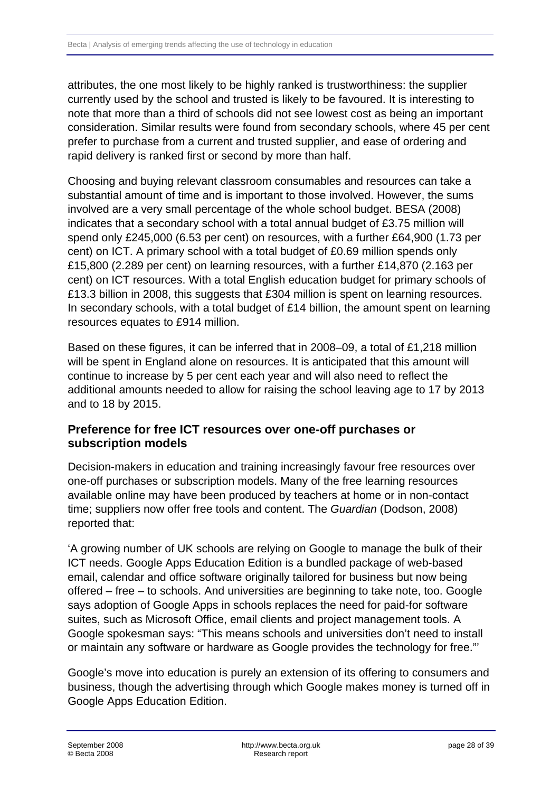<span id="page-27-0"></span>attributes, the one most likely to be highly ranked is trustworthiness: the supplier currently used by the school and trusted is likely to be favoured. It is interesting to note that more than a third of schools did not see lowest cost as being an important consideration. Similar results were found from secondary schools, where 45 per cent prefer to purchase from a current and trusted supplier, and ease of ordering and rapid delivery is ranked first or second by more than half.

Choosing and buying relevant classroom consumables and resources can take a substantial amount of time and is important to those involved. However, the sums involved are a very small percentage of the whole school budget. BESA (2008) indicates that a secondary school with a total annual budget of £3.75 million will spend only £245,000 (6.53 per cent) on resources, with a further £64,900 (1.73 per cent) on ICT. A primary school with a total budget of £0.69 million spends only £15,800 (2.289 per cent) on learning resources, with a further £14,870 (2.163 per cent) on ICT resources. With a total English education budget for primary schools of £13.3 billion in 2008, this suggests that £304 million is spent on learning resources. In secondary schools, with a total budget of £14 billion, the amount spent on learning resources equates to £914 million.

Based on these figures, it can be inferred that in 2008–09, a total of £1,218 million will be spent in England alone on resources. It is anticipated that this amount will continue to increase by 5 per cent each year and will also need to reflect the additional amounts needed to allow for raising the school leaving age to 17 by 2013 and to 18 by 2015.

#### **Preference for free ICT resources over one-off purchases or subscription models**

Decision-makers in education and training increasingly favour free resources over one-off purchases or subscription models. Many of the free learning resources available online may have been produced by teachers at home or in non-contact time; suppliers now offer free tools and content. The *Guardian* (Dodson, 2008) reported that:

'A growing number of UK schools are relying on Google to manage the bulk of their ICT needs. Google Apps Education Edition is a bundled package of web-based email, calendar and office software originally tailored for business but now being offered – free – to schools. And universities are beginning to take note, too. Google says adoption of Google Apps in schools replaces the need for paid-for software suites, such as Microsoft Office, email clients and project management tools. A Google spokesman says: "This means schools and universities don't need to install or maintain any software or hardware as Google provides the technology for free."'

Google's move into education is purely an extension of its offering to consumers and business, though the advertising through which Google makes money is turned off in Google Apps Education Edition.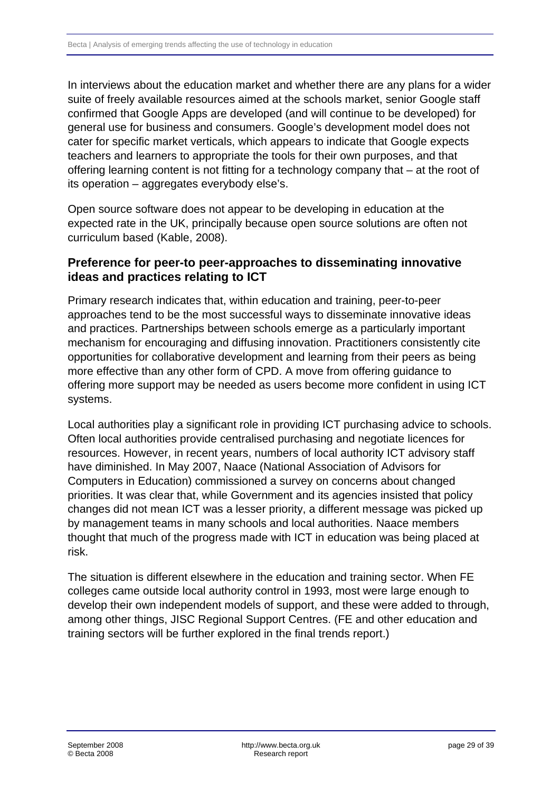<span id="page-28-0"></span>In interviews about the education market and whether there are any plans for a wider suite of freely available resources aimed at the schools market, senior Google staff confirmed that Google Apps are developed (and will continue to be developed) for general use for business and consumers. Google's development model does not cater for specific market verticals, which appears to indicate that Google expects teachers and learners to appropriate the tools for their own purposes, and that offering learning content is not fitting for a technology company that – at the root of its operation – aggregates everybody else's.

Open source software does not appear to be developing in education at the expected rate in the UK, principally because open source solutions are often not curriculum based (Kable, 2008).

#### **Preference for peer-to peer-approaches to disseminating innovative ideas and practices relating to ICT**

Primary research indicates that, within education and training, peer-to-peer approaches tend to be the most successful ways to disseminate innovative ideas and practices. Partnerships between schools emerge as a particularly important mechanism for encouraging and diffusing innovation. Practitioners consistently cite opportunities for collaborative development and learning from their peers as being more effective than any other form of CPD. A move from offering guidance to offering more support may be needed as users become more confident in using ICT systems.

Local authorities play a significant role in providing ICT purchasing advice to schools. Often local authorities provide centralised purchasing and negotiate licences for resources. However, in recent years, numbers of local authority ICT advisory staff have diminished. In May 2007, Naace (National Association of Advisors for Computers in Education) commissioned a survey on concerns about changed priorities. It was clear that, while Government and its agencies insisted that policy changes did not mean ICT was a lesser priority, a different message was picked up by management teams in many schools and local authorities. Naace members thought that much of the progress made with ICT in education was being placed at risk.

The situation is different elsewhere in the education and training sector. When FE colleges came outside local authority control in 1993, most were large enough to develop their own independent models of support, and these were added to through, among other things, JISC Regional Support Centres. (FE and other education and training sectors will be further explored in the final trends report.)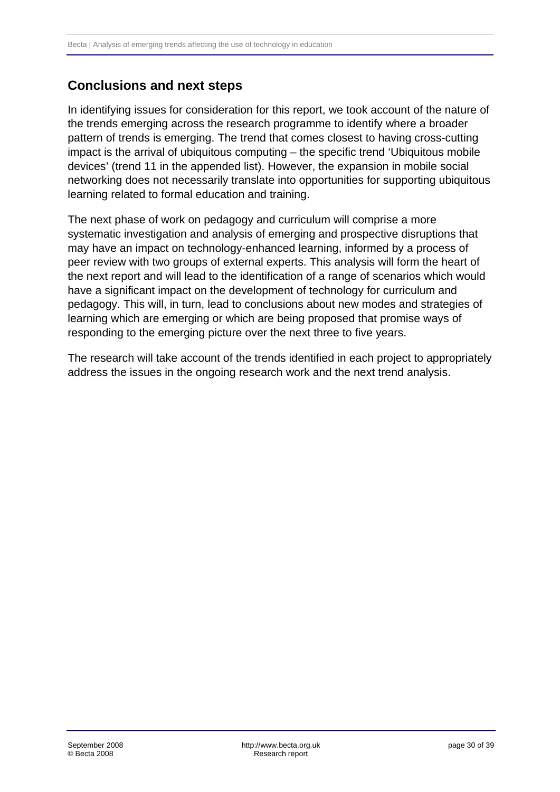# <span id="page-29-0"></span>**Conclusions and next steps**

In identifying issues for consideration for this report, we took account of the nature of the trends emerging across the research programme to identify where a broader pattern of trends is emerging. The trend that comes closest to having cross-cutting impact is the arrival of ubiquitous computing – the specific trend 'Ubiquitous mobile devices' (trend 11 in the appended list). However, the expansion in mobile social networking does not necessarily translate into opportunities for supporting ubiquitous learning related to formal education and training.

The next phase of work on pedagogy and curriculum will comprise a more systematic investigation and analysis of emerging and prospective disruptions that may have an impact on technology-enhanced learning, informed by a process of peer review with two groups of external experts. This analysis will form the heart of the next report and will lead to the identification of a range of scenarios which would have a significant impact on the development of technology for curriculum and pedagogy. This will, in turn, lead to conclusions about new modes and strategies of learning which are emerging or which are being proposed that promise ways of responding to the emerging picture over the next three to five years.

The research will take account of the trends identified in each project to appropriately address the issues in the ongoing research work and the next trend analysis.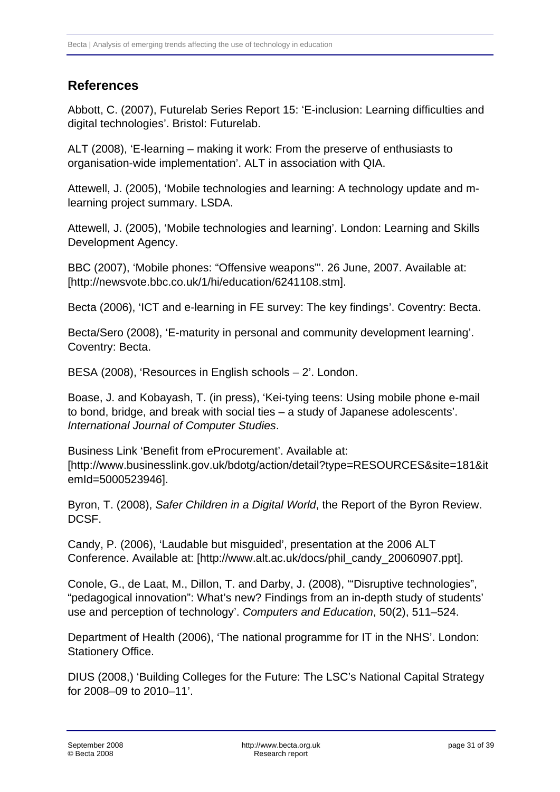# <span id="page-30-0"></span>**References**

Abbott, C. (2007), Futurelab Series Report 15: 'E-inclusion: Learning difficulties and digital technologies'. Bristol: Futurelab.

ALT (2008), 'E-learning – making it work: From the preserve of enthusiasts to organisation-wide implementation'. ALT in association with QIA.

Attewell, J. (2005), 'Mobile technologies and learning: A technology update and mlearning project summary. LSDA.

Attewell, J. (2005), 'Mobile technologies and learning'. London: Learning and Skills Development Agency.

BBC (2007), 'Mobile phones: "Offensive weapons"'. 26 June, 2007. Available at: [http://newsvote.bbc.co.uk/1/hi/education/6241108.stm].

Becta (2006), 'ICT and e-learning in FE survey: The key findings'. Coventry: Becta.

Becta/Sero (2008), 'E-maturity in personal and community development learning'. Coventry: Becta.

BESA (2008), 'Resources in English schools – 2'. London.

Boase, J. and Kobayash, T. (in press), 'Kei-tying teens: Using mobile phone e-mail to bond, bridge, and break with social ties – a study of Japanese adolescents'. *International Journal of Computer Studies*.

Business Link 'Benefit from eProcurement'. Available at: [http://www.businesslink.gov.uk/bdotg/action/detail?type=RESOURCES&site=181&it emId=5000523946].

Byron, T. (2008), *Safer Children in a Digital World*, the Report of the Byron Review. DCSF.

Candy, P. (2006), 'Laudable but misguided', presentation at the 2006 ALT Conference. Available at: [http://www.alt.ac.uk/docs/phil\_candy\_20060907.ppt].

Conole, G., de Laat, M., Dillon, T. and Darby, J. (2008), '"Disruptive technologies", "pedagogical innovation": What's new? Findings from an in-depth study of students' use and perception of technology'. *Computers and Education*, 50(2), 511–524.

Department of Health (2006), 'The national programme for IT in the NHS'. London: Stationery Office.

DIUS (2008,) 'Building Colleges for the Future: The LSC's National Capital Strategy for 2008–09 to 2010–11'.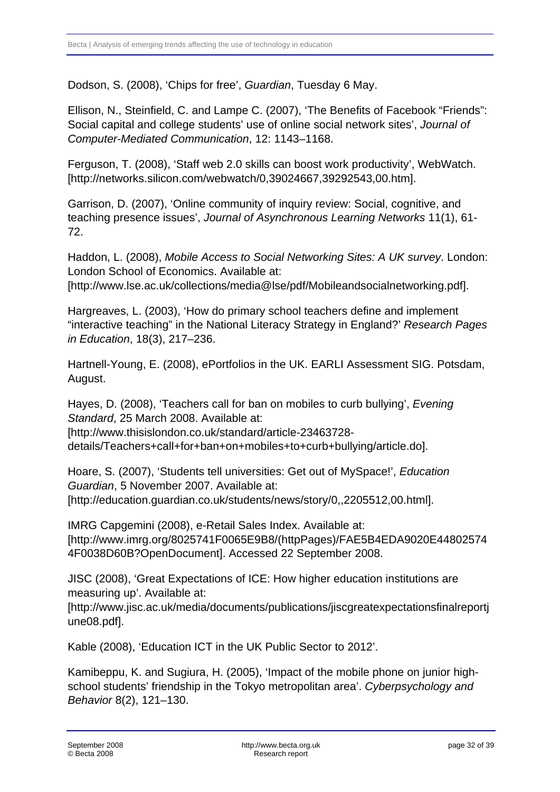Dodson, S. (2008), 'Chips for free', *Guardian*, Tuesday 6 May.

Ellison, N., Steinfield, C. and Lampe C. (2007), 'The Benefits of Facebook "Friends": Social capital and college students' use of online social network sites', *Journal of Computer-Mediated Communication*, 12: 1143–1168.

Ferguson, T. (2008), 'Staff web 2.0 skills can boost work productivity', WebWatch. [http://networks.silicon.com/webwatch/0,39024667,39292543,00.htm].

Garrison, D. (2007), 'Online community of inquiry review: Social, cognitive, and teaching presence issues', *Journal of Asynchronous Learning Networks* 11(1), 61- 72.

Haddon, L. (2008), *Mobile Access to Social Networking Sites: A UK survey*. London: London School of Economics. Available at:

[http://www.lse.ac.uk/collections/media@lse/pdf/Mobileandsocialnetworking.pdf].

Hargreaves, L. (2003), 'How do primary school teachers define and implement "interactive teaching" in the National Literacy Strategy in England?' *Research Pages in Education*, 18(3), 217–236.

Hartnell-Young, E. (2008), ePortfolios in the UK. EARLI Assessment SIG. Potsdam, August.

Hayes, D. (2008), 'Teachers call for ban on mobiles to curb bullying', *Evening Standard*, 25 March 2008. Available at: [http://www.thisislondon.co.uk/standard/article-23463728-

details/Teachers+call+for+ban+on+mobiles+to+curb+bullying/article.do].

Hoare, S. (2007), 'Students tell universities: Get out of MySpace!', *Education Guardian*, 5 November 2007. Available at: [http://education.guardian.co.uk/students/news/story/0,,2205512,00.html].

IMRG Capgemini (2008), e-Retail Sales Index. Available at: [http://www.imrg.org/8025741F0065E9B8/(httpPages)/FAE5B4EDA9020E44802574 4F0038D60B?OpenDocument]. Accessed 22 September 2008.

JISC (2008), 'Great Expectations of ICE: How higher education institutions are measuring up'. Available at:

[http://www.jisc.ac.uk/media/documents/publications/jiscgreatexpectationsfinalreportj une08.pdf].

Kable (2008), 'Education ICT in the UK Public Sector to 2012'.

Kamibeppu, K. and Sugiura, H. (2005), 'Impact of the mobile phone on junior highschool students' friendship in the Tokyo metropolitan area'. *Cyberpsychology and Behavior* 8(2), 121–130.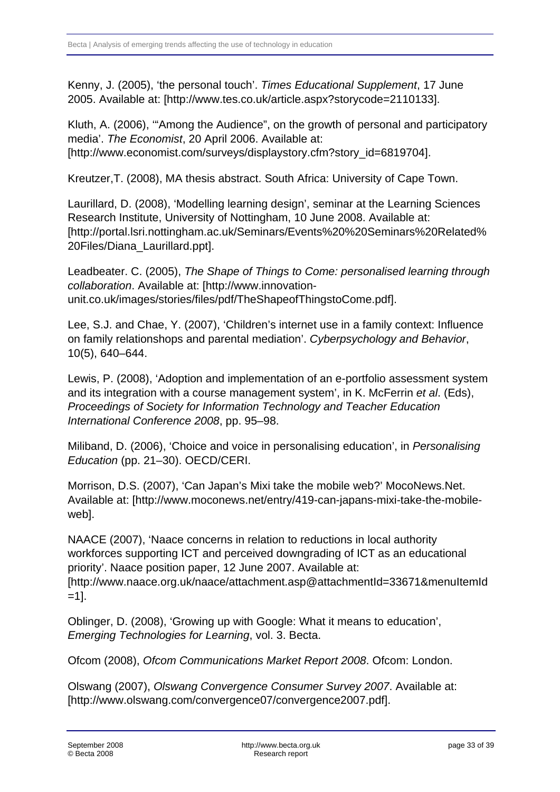Kenny, J. (2005), 'the personal touch'. *Times Educational Supplement*, 17 June 2005. Available at: [http://www.tes.co.uk/article.aspx?storycode=2110133].

Kluth, A. (2006), '"Among the Audience", on the growth of personal and participatory media'. *The Economist*, 20 April 2006. Available at: [http://www.economist.com/surveys/displaystory.cfm?story\_id=6819704].

Kreutzer,T. (2008), MA thesis abstract. South Africa: University of Cape Town.

Laurillard, D. (2008), 'Modelling learning design', seminar at the Learning Sciences Research Institute, University of Nottingham, 10 June 2008. Available at: [http://portal.lsri.nottingham.ac.uk/Seminars/Events%20%20Seminars%20Related% 20Files/Diana\_Laurillard.ppt].

Leadbeater. C. (2005), *The Shape of Things to Come: personalised learning through collaboration*. Available at: [http://www.innovationunit.co.uk/images/stories/files/pdf/TheShapeofThingstoCome.pdf].

Lee, S.J. and Chae, Y. (2007), 'Children's internet use in a family context: Influence on family relationshops and parental mediation'. *Cyberpsychology and Behavior*, 10(5), 640–644.

Lewis, P. (2008), 'Adoption and implementation of an e-portfolio assessment system and its integration with a course management system', in K. McFerrin *et al*. (Eds), *Proceedings of Society for Information Technology and Teacher Education International Conference 2008*, pp. 95–98.

Miliband, D. (2006), 'Choice and voice in personalising education', in *Personalising Education* (pp. 21–30). OECD/CERI.

Morrison, D.S. (2007), 'Can Japan's Mixi take the mobile web?' MocoNews.Net. Available at: [http://www.moconews.net/entry/419-can-japans-mixi-take-the-mobileweb].

NAACE (2007), 'Naace concerns in relation to reductions in local authority workforces supporting ICT and perceived downgrading of ICT as an educational priority'. Naace position paper, 12 June 2007. Available at: [http://www.naace.org.uk/naace/attachment.asp@attachmentId=33671&menuItemId  $=11$ .

Oblinger, D. (2008), 'Growing up with Google: What it means to education', *Emerging Technologies for Learning*, vol. 3. Becta.

Ofcom (2008), *Ofcom Communications Market Report 2008*. Ofcom: London.

Olswang (2007), *Olswang Convergence Consumer Survey 2007*. Available at: [http://www.olswang.com/convergence07/convergence2007.pdf].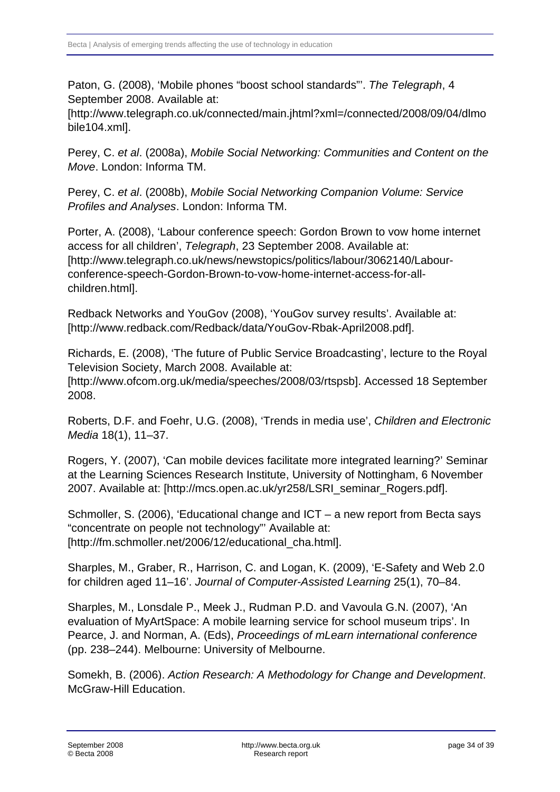Paton, G. (2008), 'Mobile phones "boost school standards"'. *The Telegraph*, 4 September 2008. Available at:

[http://www.telegraph.co.uk/connected/main.jhtml?xml=/connected/2008/09/04/dlmo bile104.xml].

Perey, C. *et al*. (2008a), *Mobile Social Networking: Communities and Content on the Move*. London: Informa TM.

Perey, C. *et al*. (2008b), *Mobile Social Networking Companion Volume: Service Profiles and Analyses*. London: Informa TM.

Porter, A. (2008), 'Labour conference speech: Gordon Brown to vow home internet access for all children', *Telegraph*, 23 September 2008. Available at: [http://www.telegraph.co.uk/news/newstopics/politics/labour/3062140/Labourconference-speech-Gordon-Brown-to-vow-home-internet-access-for-allchildren.html].

Redback Networks and YouGov (2008), 'YouGov survey results'. Available at: [http://www.redback.com/Redback/data/YouGov-Rbak-April2008.pdf].

Richards, E. (2008), 'The future of Public Service Broadcasting', lecture to the Royal Television Society, March 2008. Available at: [http://www.ofcom.org.uk/media/speeches/2008/03/rtspsb]. Accessed 18 September 2008.

Roberts, D.F. and Foehr, U.G. (2008), 'Trends in media use', *Children and Electronic Media* 18(1), 11–37.

Rogers, Y. (2007), 'Can mobile devices facilitate more integrated learning?' Seminar at the Learning Sciences Research Institute, University of Nottingham, 6 November 2007. Available at: [http://mcs.open.ac.uk/yr258/LSRI\_seminar\_Rogers.pdf].

Schmoller, S. (2006), 'Educational change and ICT – a new report from Becta says "concentrate on people not technology"' Available at: [http://fm.schmoller.net/2006/12/educational\_cha.html].

Sharples, M., Graber, R., Harrison, C. and Logan, K. (2009), 'E-Safety and Web 2.0 for children aged 11–16'. *Journal of Computer-Assisted Learning* 25(1), 70–84.

Sharples, M., Lonsdale P., Meek J., Rudman P.D. and Vavoula G.N. (2007), 'An evaluation of MyArtSpace: A mobile learning service for school museum trips'. In Pearce, J. and Norman, A. (Eds), *Proceedings of mLearn international conference* (pp. 238–244). Melbourne: University of Melbourne.

Somekh, B. (2006). *Action Research: A Methodology for Change and Development*. McGraw-Hill Education.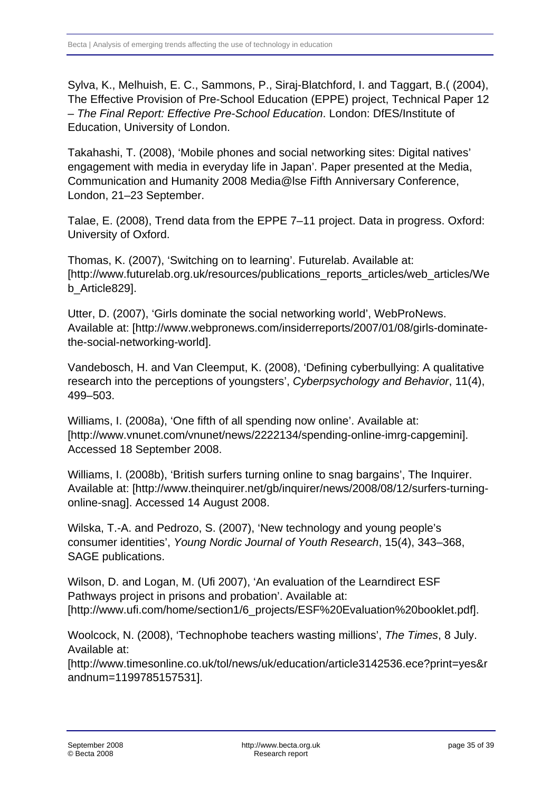Sylva, K., Melhuish, E. C., Sammons, P., Siraj-Blatchford, I. and Taggart, B.( (2004), The Effective Provision of Pre-School Education (EPPE) project, Technical Paper 12 – *The Final Report: Effective Pre-School Education*. London: DfES/Institute of Education, University of London.

Takahashi, T. (2008), 'Mobile phones and social networking sites: Digital natives' engagement with media in everyday life in Japan'. Paper presented at the Media, Communication and Humanity 2008 Media@lse Fifth Anniversary Conference, London, 21–23 September.

Talae, E. (2008), Trend data from the EPPE 7–11 project. Data in progress. Oxford: University of Oxford.

Thomas, K. (2007), 'Switching on to learning'. Futurelab. Available at: [http://www.futurelab.org.uk/resources/publications\_reports\_articles/web\_articles/We b\_Article829].

Utter, D. (2007), 'Girls dominate the social networking world', WebProNews. Available at: [http://www.webpronews.com/insiderreports/2007/01/08/girls-dominatethe-social-networking-world].

Vandebosch, H. and Van Cleemput, K. (2008), 'Defining cyberbullying: A qualitative research into the perceptions of youngsters', *Cyberpsychology and Behavior*, 11(4), 499–503.

Williams, I. (2008a), 'One fifth of all spending now online'. Available at: [http://www.vnunet.com/vnunet/news/2222134/spending-online-imrg-capgemini]. Accessed 18 September 2008.

Williams, I. (2008b), 'British surfers turning online to snag bargains', The Inquirer. Available at: [http://www.theinquirer.net/gb/inquirer/news/2008/08/12/surfers-turningonline-snag]. Accessed 14 August 2008.

Wilska, T.-A. and Pedrozo, S. (2007), 'New technology and young people's consumer identities', *Young Nordic Journal of Youth Research*, 15(4), 343–368, SAGE publications.

Wilson, D. and Logan, M. (Ufi 2007), 'An evaluation of the Learndirect ESF Pathways project in prisons and probation'. Available at: [http://www.ufi.com/home/section1/6\_projects/ESF%20Evaluation%20booklet.pdf].

Woolcock, N. (2008), 'Technophobe teachers wasting millions', *The Times*, 8 July. Available at:

[http://www.timesonline.co.uk/tol/news/uk/education/article3142536.ece?print=yes&r andnum=1199785157531].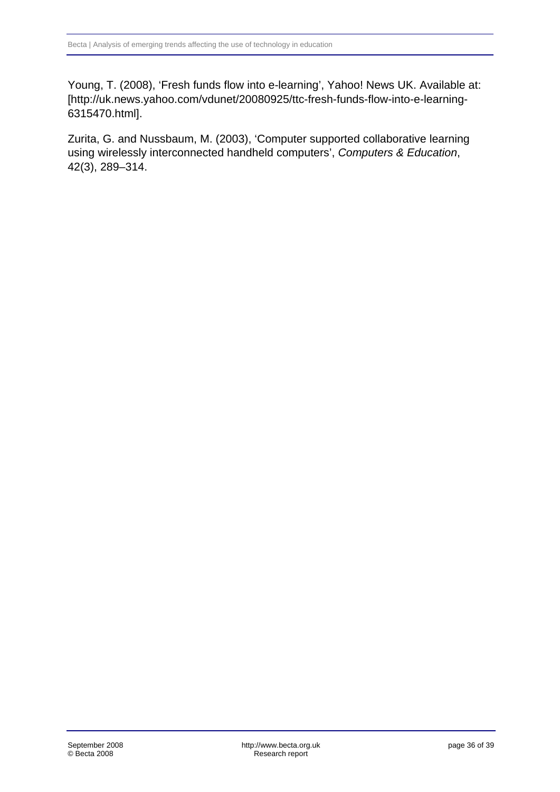Young, T. (2008), 'Fresh funds flow into e-learning', Yahoo! News UK. Available at: [http://uk.news.yahoo.com/vdunet/20080925/ttc-fresh-funds-flow-into-e-learning-6315470.html].

Zurita, G. and Nussbaum, M. (2003), 'Computer supported collaborative learning using wirelessly interconnected handheld computers', *Computers & Education*, 42(3), 289–314.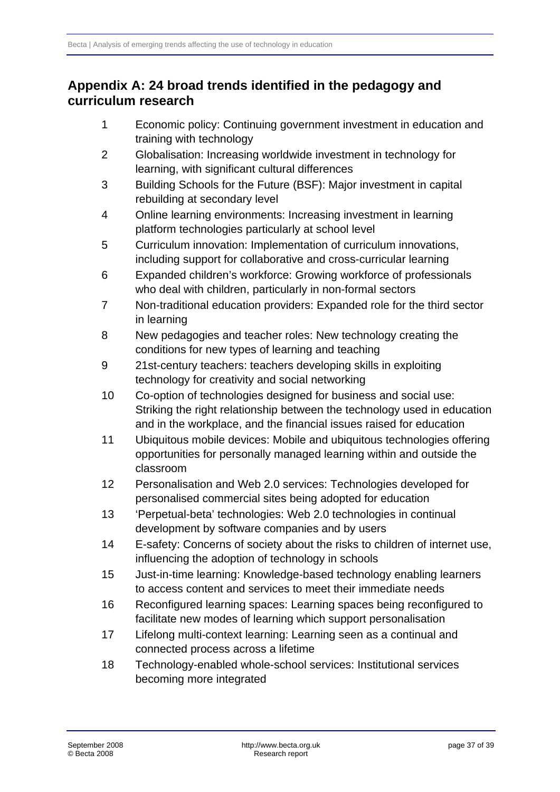# <span id="page-36-0"></span>**Appendix A: 24 broad trends identified in the pedagogy and curriculum research**

- 1 Economic policy: Continuing government investment in education and training with technology
- 2 Globalisation: Increasing worldwide investment in technology for learning, with significant cultural differences
- 3 Building Schools for the Future (BSF): Major investment in capital rebuilding at secondary level
- 4 Online learning environments: Increasing investment in learning platform technologies particularly at school level
- 5 Curriculum innovation: Implementation of curriculum innovations, including support for collaborative and cross-curricular learning
- 6 Expanded children's workforce: Growing workforce of professionals who deal with children, particularly in non-formal sectors
- 7 Non-traditional education providers: Expanded role for the third sector in learning
- 8 New pedagogies and teacher roles: New technology creating the conditions for new types of learning and teaching
- 9 21st-century teachers: teachers developing skills in exploiting technology for creativity and social networking
- 10 Co-option of technologies designed for business and social use: Striking the right relationship between the technology used in education and in the workplace, and the financial issues raised for education
- 11 Ubiquitous mobile devices: Mobile and ubiquitous technologies offering opportunities for personally managed learning within and outside the classroom
- 12 Personalisation and Web 2.0 services: Technologies developed for personalised commercial sites being adopted for education
- 13 'Perpetual-beta' technologies: Web 2.0 technologies in continual development by software companies and by users
- 14 E-safety: Concerns of society about the risks to children of internet use, influencing the adoption of technology in schools
- 15 Just-in-time learning: Knowledge-based technology enabling learners to access content and services to meet their immediate needs
- 16 Reconfigured learning spaces: Learning spaces being reconfigured to facilitate new modes of learning which support personalisation
- 17 Lifelong multi-context learning: Learning seen as a continual and connected process across a lifetime
- 18 Technology-enabled whole-school services: Institutional services becoming more integrated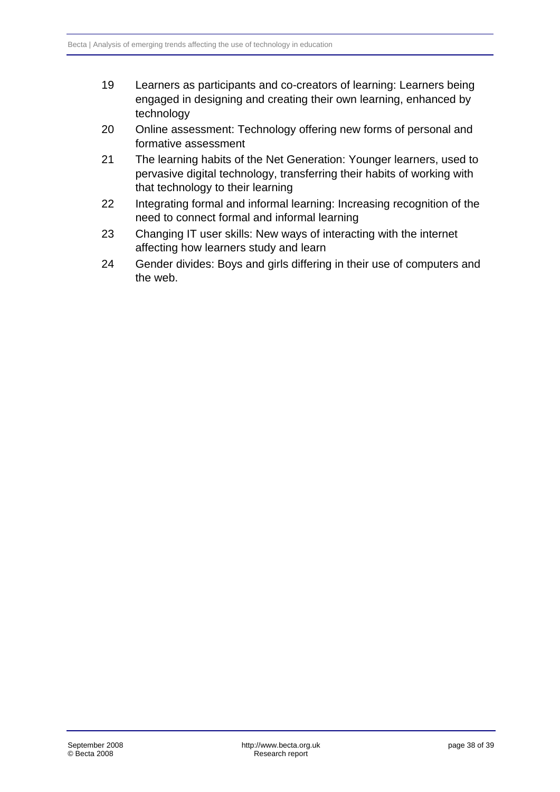- 19 Learners as participants and co-creators of learning: Learners being engaged in designing and creating their own learning, enhanced by technology
- 20 Online assessment: Technology offering new forms of personal and formative assessment
- 21 The learning habits of the Net Generation: Younger learners, used to pervasive digital technology, transferring their habits of working with that technology to their learning
- 22 Integrating formal and informal learning: Increasing recognition of the need to connect formal and informal learning
- 23 Changing IT user skills: New ways of interacting with the internet affecting how learners study and learn
- 24 Gender divides: Boys and girls differing in their use of computers and the web.